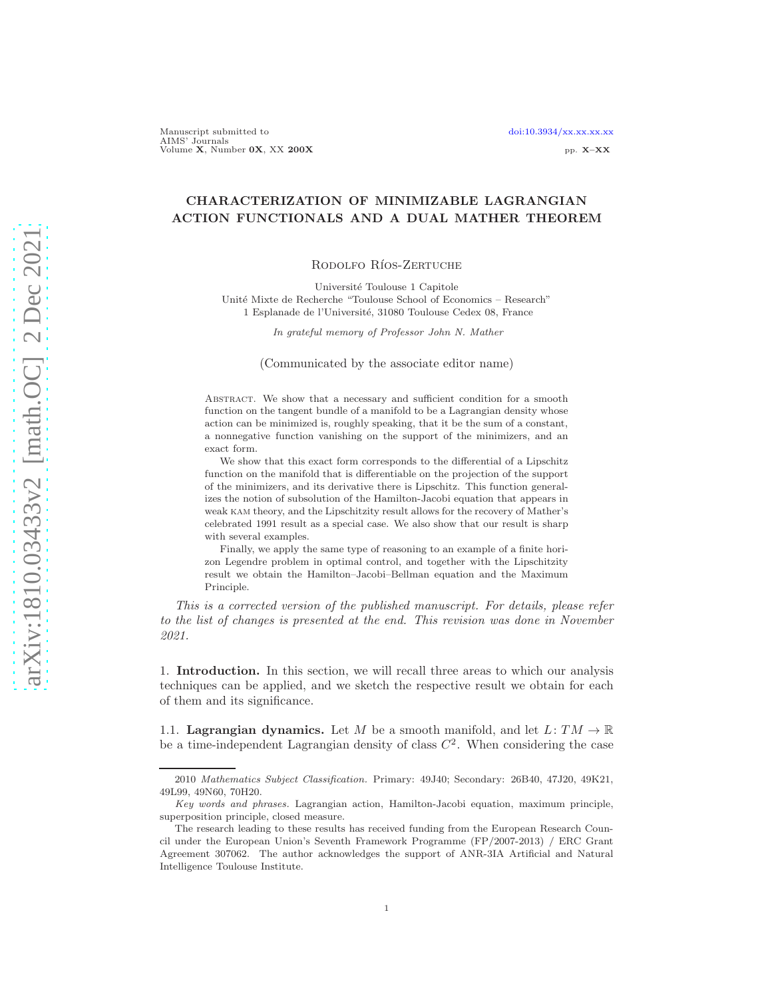# CHARACTERIZATION OF MINIMIZABLE LAGRANGIAN ACTION FUNCTIONALS AND A DUAL MATHER THEOREM

#### RODOLFO RÍOS-ZERTUCHE

Université Toulouse 1 Capitole Unit´e Mixte de Recherche "Toulouse School of Economics – Research" 1 Esplanade de l'Université, 31080 Toulouse Cedex 08, France

In grateful memory of Professor John N. Mather

(Communicated by the associate editor name)

Abstract. We show that a necessary and sufficient condition for a smooth function on the tangent bundle of a manifold to be a Lagrangian density whose action can be minimized is, roughly speaking, that it be the sum of a constant, a nonnegative function vanishing on the support of the minimizers, and an exact form.

We show that this exact form corresponds to the differential of a Lipschitz function on the manifold that is differentiable on the projection of the support of the minimizers, and its derivative there is Lipschitz. This function generalizes the notion of subsolution of the Hamilton-Jacobi equation that appears in weak kam theory, and the Lipschitzity result allows for the recovery of Mather's celebrated 1991 result as a special case. We also show that our result is sharp with several examples.

Finally, we apply the same type of reasoning to an example of a finite horizon Legendre problem in optimal control, and together with the Lipschitzity result we obtain the Hamilton–Jacobi–Bellman equation and the Maximum Principle.

This is a corrected version of the published manuscript. For details, please refer to the list of changes is presented at the end. This revision was done in November 2021.

1. Introduction. In this section, we will recall three areas to which our analysis techniques can be applied, and we sketch the respective result we obtain for each of them and its significance.

1.1. Lagrangian dynamics. Let M be a smooth manifold, and let  $L: TM \to \mathbb{R}$ be a time-independent Lagrangian density of class  $C<sup>2</sup>$ . When considering the case

<sup>2010</sup> Mathematics Subject Classification. Primary: 49J40; Secondary: 26B40, 47J20, 49K21, 49L99, 49N60, 70H20.

Key words and phrases. Lagrangian action, Hamilton-Jacobi equation, maximum principle, superposition principle, closed measure.

The research leading to these results has received funding from the European Research Council under the European Union's Seventh Framework Programme (FP/2007-2013) / ERC Grant Agreement 307062. The author acknowledges the support of ANR-3IA Artificial and Natural Intelligence Toulouse Institute.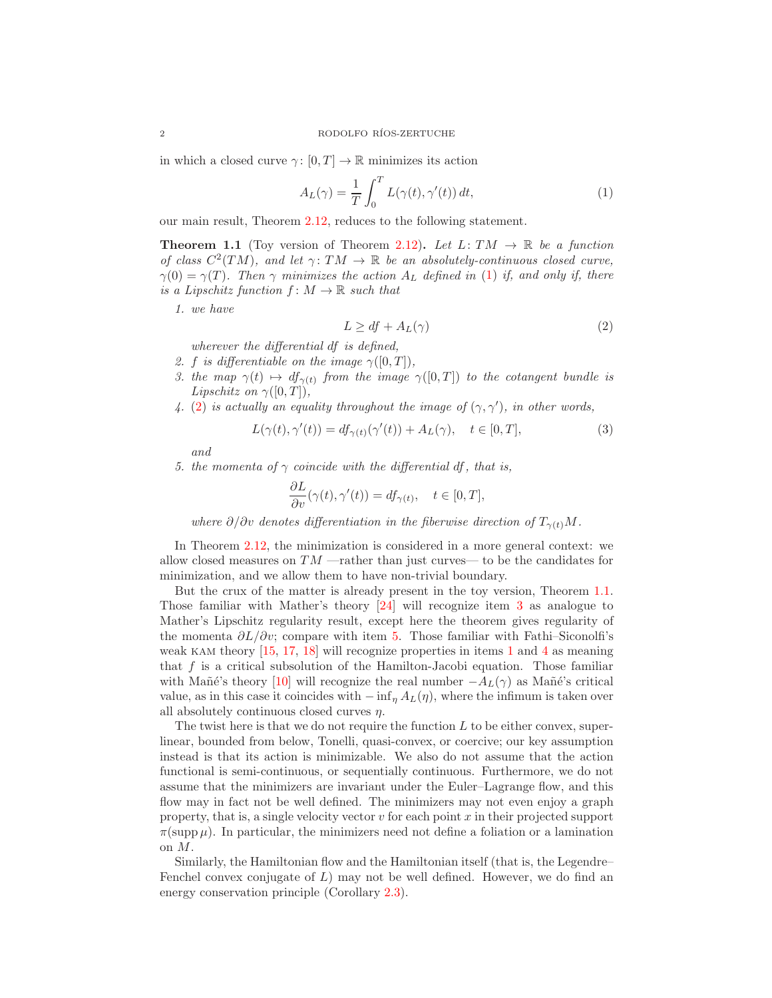in which a closed curve  $\gamma: [0, T] \to \mathbb{R}$  minimizes its action

<span id="page-1-0"></span>
$$
A_L(\gamma) = \frac{1}{T} \int_0^T L(\gamma(t), \gamma'(t)) dt,
$$
\n(1)

our main result, Theorem [2.12,](#page-7-0) reduces to the following statement.

<span id="page-1-2"></span>**Theorem 1.1** (Toy version of Theorem [2.12\)](#page-7-0). Let  $L: TM \rightarrow \mathbb{R}$  be a function of class  $C^2(TM)$ , and let  $\gamma: TM \to \mathbb{R}$  be an absolutely-continuous closed curve,  $\gamma(0) = \gamma(T)$ . Then  $\gamma$  minimizes the action  $A_L$  defined in [\(1\)](#page-1-0) if, and only if, there is a Lipschitz function  $f: M \to \mathbb{R}$  such that

<span id="page-1-5"></span>1. we have

<span id="page-1-1"></span>
$$
L \ge df + A_L(\gamma) \tag{2}
$$

wherever the differential df is defined,

- <span id="page-1-3"></span>2. f is differentiable on the image  $\gamma([0,T])$ ,
- <span id="page-1-6"></span>3. the map  $\gamma(t) \mapsto df_{\gamma(t)}$  from the image  $\gamma([0,T])$  to the cotangent bundle is Lipschitz on  $\gamma([0,T]),$
- 4. [\(2\)](#page-1-1) is actually an equality throughout the image of  $(\gamma, \gamma')$ , in other words,

$$
L(\gamma(t), \gamma'(t)) = df_{\gamma(t)}(\gamma'(t)) + A_L(\gamma), \quad t \in [0, T],
$$
\n(3)

and

<span id="page-1-4"></span>5. the momenta of  $\gamma$  coincide with the differential df, that is,

$$
\frac{\partial L}{\partial v}(\gamma(t), \gamma'(t)) = df_{\gamma(t)}, \quad t \in [0, T],
$$

where  $\partial/\partial v$  denotes differentiation in the fiberwise direction of  $T_{\gamma(t)}M$ .

In Theorem [2.12,](#page-7-0) the minimization is considered in a more general context: we allow closed measures on  $TM$  —rather than just curves— to be the candidates for minimization, and we allow them to have non-trivial boundary.

But the crux of the matter is already present in the toy version, Theorem [1.1.](#page-1-2) Those familiar with Mather's theory [\[24\]](#page-24-0) will recognize item [3](#page-1-3) as analogue to Mather's Lipschitz regularity result, except here the theorem gives regularity of the momenta  $\partial L/\partial v$ ; compare with item [5.](#page-1-4) Those familiar with Fathi–Siconolfi's weak kam theory [\[15,](#page-24-1) [17,](#page-24-2) [18\]](#page-24-3) will recognize properties in items [1](#page-1-5) and [4](#page-1-6) as meaning that  $f$  is a critical subsolution of the Hamilton-Jacobi equation. Those familiar with Mañé's theory [\[10\]](#page-24-4) will recognize the real number  $-A_L(\gamma)$  as Mañé's critical value, as in this case it coincides with  $-\inf_{\eta} A_L(\eta)$ , where the infimum is taken over all absolutely continuous closed curves  $\eta$ .

The twist here is that we do not require the function  $L$  to be either convex, superlinear, bounded from below, Tonelli, quasi-convex, or coercive; our key assumption instead is that its action is minimizable. We also do not assume that the action functional is semi-continuous, or sequentially continuous. Furthermore, we do not assume that the minimizers are invariant under the Euler–Lagrange flow, and this flow may in fact not be well defined. The minimizers may not even enjoy a graph property, that is, a single velocity vector  $v$  for each point  $x$  in their projected support  $\pi(\text{supp }\mu)$ . In particular, the minimizers need not define a foliation or a lamination on M.

Similarly, the Hamiltonian flow and the Hamiltonian itself (that is, the Legendre– Fenchel convex conjugate of  $L$ ) may not be well defined. However, we do find an energy conservation principle (Corollary [2.3\)](#page-5-0).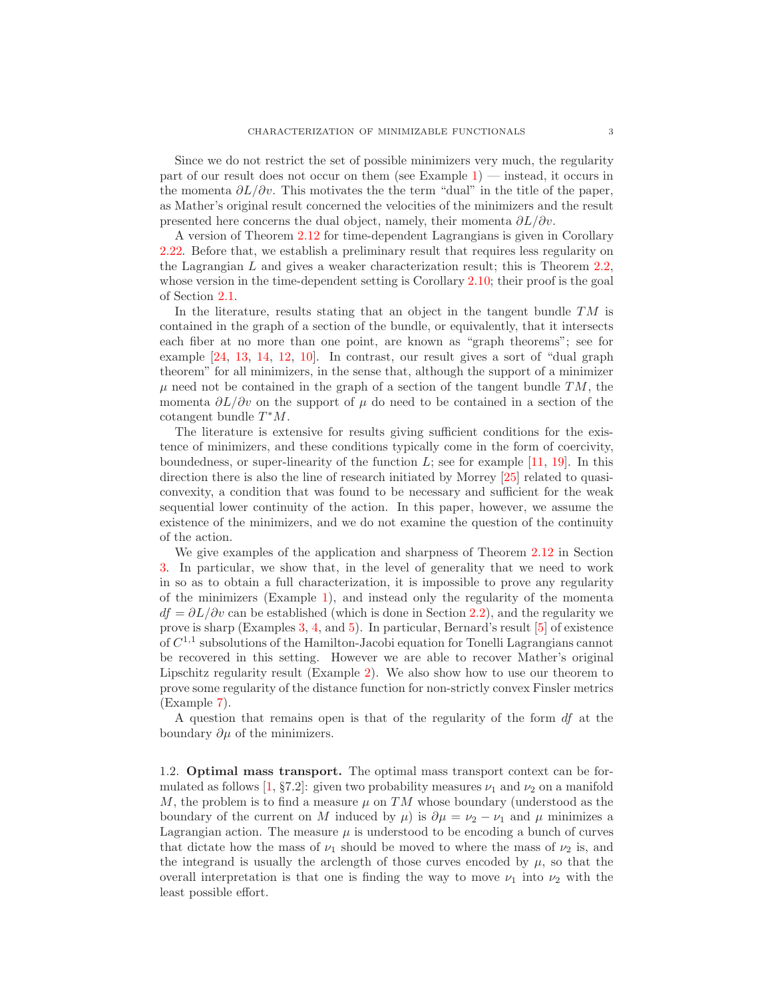Since we do not restrict the set of possible minimizers very much, the regularity part of our result does not occur on them (see Example  $1$ ) — instead, it occurs in the momenta  $\partial L/\partial v$ . This motivates the the term "dual" in the title of the paper, as Mather's original result concerned the velocities of the minimizers and the result presented here concerns the dual object, namely, their momenta  $\partial L/\partial v$ .

A version of Theorem [2.12](#page-7-0) for time-dependent Lagrangians is given in Corollary [2.22.](#page-14-0) Before that, we establish a preliminary result that requires less regularity on the Lagrangian L and gives a weaker characterization result; this is Theorem [2.2,](#page-4-0) whose version in the time-dependent setting is Corollary [2.10;](#page-7-1) their proof is the goal of Section [2.1.](#page-3-0)

In the literature, results stating that an object in the tangent bundle  $TM$  is contained in the graph of a section of the bundle, or equivalently, that it intersects each fiber at no more than one point, are known as "graph theorems"; see for example [\[24,](#page-24-0) [13,](#page-24-5) [14,](#page-24-6) [12,](#page-24-7) [10\]](#page-24-4). In contrast, our result gives a sort of "dual graph theorem" for all minimizers, in the sense that, although the support of a minimizer  $\mu$  need not be contained in the graph of a section of the tangent bundle  $TM$ , the momenta  $\partial L/\partial v$  on the support of  $\mu$  do need to be contained in a section of the cotangent bundle  $T^*M$ .

The literature is extensive for results giving sufficient conditions for the existence of minimizers, and these conditions typically come in the form of coercivity, boundedness, or super-linearity of the function  $L$ ; see for example [\[11,](#page-24-8) [19\]](#page-24-9). In this direction there is also the line of research initiated by Morrey [\[25\]](#page-24-10) related to quasiconvexity, a condition that was found to be necessary and sufficient for the weak sequential lower continuity of the action. In this paper, however, we assume the existence of the minimizers, and we do not examine the question of the continuity of the action.

We give examples of the application and sharpness of Theorem [2.12](#page-7-0) in Section [3.](#page-15-1) In particular, we show that, in the level of generality that we need to work in so as to obtain a full characterization, it is impossible to prove any regularity of the minimizers (Example [1\)](#page-15-0), and instead only the regularity of the momenta  $df = \partial L/\partial v$  can be established (which is done in Section [2.2\)](#page-7-2), and the regularity we prove is sharp (Examples [3,](#page-15-2) [4,](#page-15-3) and [5\)](#page-16-0). In particular, Bernard's result [\[5\]](#page-23-0) of existence of  $C^{1,1}$  subsolutions of the Hamilton-Jacobi equation for Tonelli Lagrangians cannot be recovered in this setting. However we are able to recover Mather's original Lipschitz regularity result (Example [2\)](#page-15-4). We also show how to use our theorem to prove some regularity of the distance function for non-strictly convex Finsler metrics (Example [7\)](#page-17-0).

A question that remains open is that of the regularity of the form df at the boundary  $\partial \mu$  of the minimizers.

1.2. Optimal mass transport. The optimal mass transport context can be formulated as follows  $\left|1, \S 7.2\right|$ : given two probability measures  $\nu_1$  and  $\nu_2$  on a manifold  $M,$  the problem is to find a measure  $\mu$  on  $TM$  whose boundary (understood as the boundary of the current on M induced by  $\mu$ ) is  $\partial \mu = \nu_2 - \nu_1$  and  $\mu$  minimizes a Lagrangian action. The measure  $\mu$  is understood to be encoding a bunch of curves that dictate how the mass of  $\nu_1$  should be moved to where the mass of  $\nu_2$  is, and the integrand is usually the arclength of those curves encoded by  $\mu$ , so that the overall interpretation is that one is finding the way to move  $\nu_1$  into  $\nu_2$  with the least possible effort.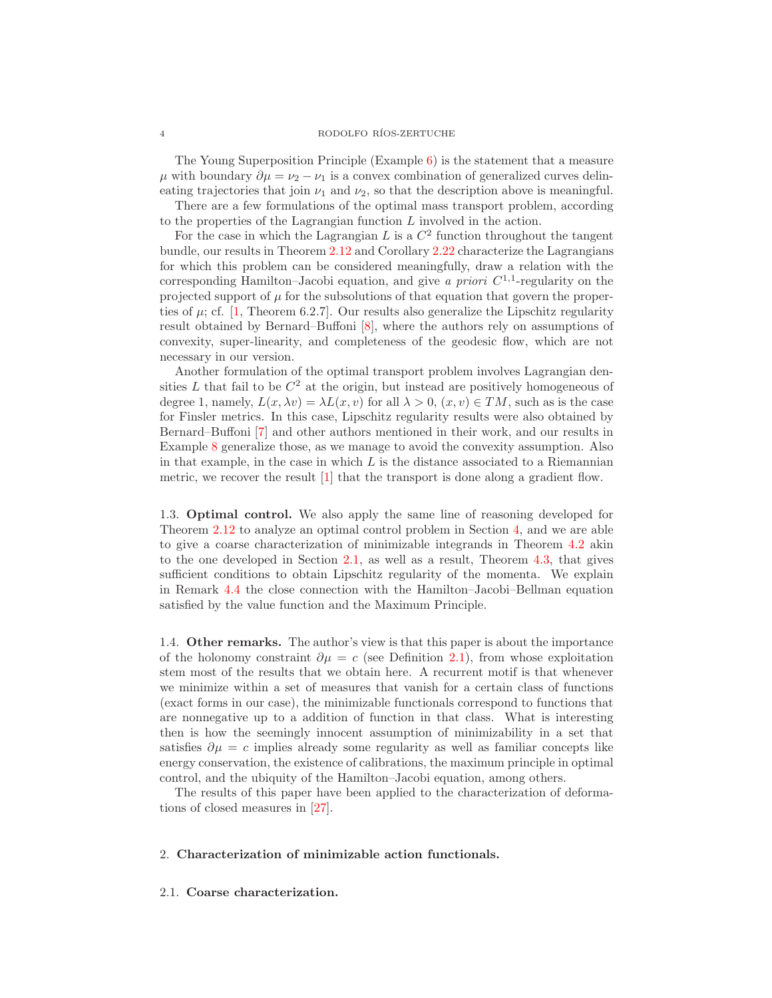The Young Superposition Principle (Example [6\)](#page-16-1) is the statement that a measure  $\mu$  with boundary  $\partial \mu = \nu_2 - \nu_1$  is a convex combination of generalized curves delineating trajectories that join  $\nu_1$  and  $\nu_2$ , so that the description above is meaningful.

There are a few formulations of the optimal mass transport problem, according to the properties of the Lagrangian function  $L$  involved in the action.

For the case in which the Lagrangian  $L$  is a  $C<sup>2</sup>$  function throughout the tangent bundle, our results in Theorem [2.12](#page-7-0) and Corollary [2.22](#page-14-0) characterize the Lagrangians for which this problem can be considered meaningfully, draw a relation with the corresponding Hamilton–Jacobi equation, and give a priori  $C^{1,1}$ -regularity on the projected support of  $\mu$  for the subsolutions of that equation that govern the properties of  $\mu$ ; cf. [\[1,](#page-23-1) Theorem 6.2.7]. Our results also generalize the Lipschitz regularity result obtained by Bernard–Buffoni [\[8\]](#page-24-11), where the authors rely on assumptions of convexity, super-linearity, and completeness of the geodesic flow, which are not necessary in our version.

Another formulation of the optimal transport problem involves Lagrangian densities L that fail to be  $C^2$  at the origin, but instead are positively homogeneous of degree 1, namely,  $L(x, \lambda v) = \lambda L(x, v)$  for all  $\lambda > 0$ ,  $(x, v) \in TM$ , such as is the case for Finsler metrics. In this case, Lipschitz regularity results were also obtained by Bernard–Buffoni [\[7\]](#page-23-2) and other authors mentioned in their work, and our results in Example [8](#page-17-1) generalize those, as we manage to avoid the convexity assumption. Also in that example, in the case in which  $L$  is the distance associated to a Riemannian metric, we recover the result [\[1\]](#page-23-1) that the transport is done along a gradient flow.

1.3. Optimal control. We also apply the same line of reasoning developed for Theorem [2.12](#page-7-0) to analyze an optimal control problem in Section [4,](#page-18-0) and we are able to give a coarse characterization of minimizable integrands in Theorem [4.2](#page-19-0) akin to the one developed in Section [2.1,](#page-3-0) as well as a result, Theorem [4.3,](#page-20-0) that gives sufficient conditions to obtain Lipschitz regularity of the momenta. We explain in Remark [4.4](#page-22-0) the close connection with the Hamilton–Jacobi–Bellman equation satisfied by the value function and the Maximum Principle.

1.4. Other remarks. The author's view is that this paper is about the importance of the holonomy constraint  $\partial \mu = c$  (see Definition [2.1\)](#page-4-1), from whose exploitation stem most of the results that we obtain here. A recurrent motif is that whenever we minimize within a set of measures that vanish for a certain class of functions (exact forms in our case), the minimizable functionals correspond to functions that are nonnegative up to a addition of function in that class. What is interesting then is how the seemingly innocent assumption of minimizability in a set that satisfies  $\partial \mu = c$  implies already some regularity as well as familiar concepts like energy conservation, the existence of calibrations, the maximum principle in optimal control, and the ubiquity of the Hamilton–Jacobi equation, among others.

The results of this paper have been applied to the characterization of deformations of closed measures in [\[27\]](#page-24-12).

# <span id="page-3-1"></span>2. Characterization of minimizable action functionals.

### <span id="page-3-0"></span>2.1. Coarse characterization.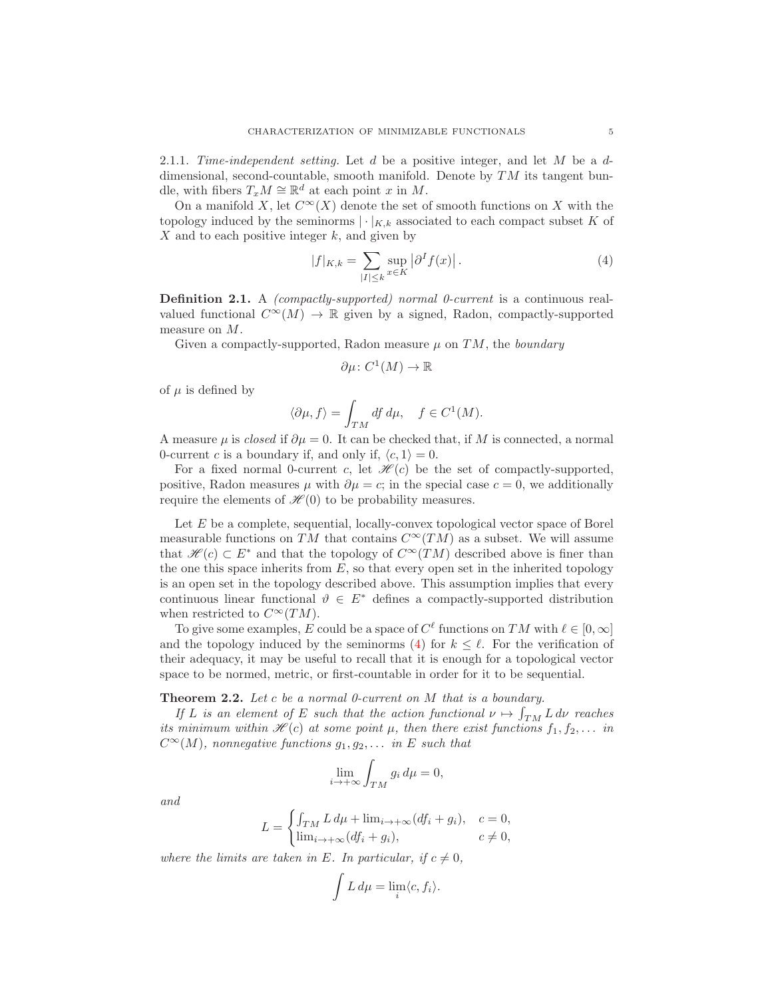2.1.1. Time-independent setting. Let  $d$  be a positive integer, and let  $M$  be a  $d$ dimensional, second-countable, smooth manifold. Denote by  $TM$  its tangent bundle, with fibers  $T_xM \cong \mathbb{R}^d$  at each point x in M.

On a manifold X, let  $C^{\infty}(X)$  denote the set of smooth functions on X with the topology induced by the seminorms  $|\cdot|_{K,k}$  associated to each compact subset K of  $X$  and to each positive integer  $k$ , and given by

<span id="page-4-2"></span>
$$
|f|_{K,k} = \sum_{|I| \le k} \sup_{x \in K} |\partial^I f(x)|.
$$
 (4)

<span id="page-4-1"></span>**Definition 2.1.** A *(compactly-supported) normal 0-current* is a continuous realvalued functional  $C^{\infty}(M) \to \mathbb{R}$  given by a signed, Radon, compactly-supported measure on M.

Given a compactly-supported, Radon measure  $\mu$  on TM, the *boundary* 

$$
\partial \mu \colon C^1(M) \to \mathbb{R}
$$

of  $\mu$  is defined by

$$
\langle \partial \mu, f \rangle = \int_{TM} df \, d\mu, \quad f \in C^1(M).
$$

A measure  $\mu$  is *closed* if  $\partial \mu = 0$ . It can be checked that, if M is connected, a normal 0-current c is a boundary if, and only if,  $\langle c, 1 \rangle = 0$ .

For a fixed normal 0-current c, let  $\mathcal{H}(c)$  be the set of compactly-supported, positive, Radon measures  $\mu$  with  $\partial \mu = c$ ; in the special case  $c = 0$ , we additionally require the elements of  $\mathcal{H}(0)$  to be probability measures.

Let E be a complete, sequential, locally-convex topological vector space of Borel measurable functions on TM that contains  $C^{\infty}(TM)$  as a subset. We will assume that  $\mathcal{H}(c) \subset E^*$  and that the topology of  $C^{\infty}(TM)$  described above is finer than the one this space inherits from  $E$ , so that every open set in the inherited topology is an open set in the topology described above. This assumption implies that every continuous linear functional  $\vartheta \in E^*$  defines a compactly-supported distribution when restricted to  $C^{\infty}(TM)$ .

To give some examples, E could be a space of  $C^{\ell}$  functions on TM with  $\ell \in [0,\infty]$ and the topology induced by the seminorms [\(4\)](#page-4-2) for  $k \leq \ell$ . For the verification of their adequacy, it may be useful to recall that it is enough for a topological vector space to be normed, metric, or first-countable in order for it to be sequential.

### <span id="page-4-0"></span>**Theorem 2.2.** Let c be a normal 0-current on  $M$  that is a boundary.

If L is an element of E such that the action functional  $\nu \mapsto \int_{TM} L \, d\nu$  reaches its minimum within  $\mathcal{H}(c)$  at some point  $\mu$ , then there exist functions  $f_1, f_2, \ldots$  in  $C^{\infty}(M)$ , nonnegative functions  $g_1, g_2, \ldots$  in E such that

$$
\lim_{i \to +\infty} \int_{TM} g_i \, d\mu = 0,
$$

and

$$
L = \begin{cases} \int_{TM} L d\mu + \lim_{i \to +\infty} (df_i + g_i), & c = 0, \\ \lim_{i \to +\infty} (df_i + g_i), & c \neq 0, \end{cases}
$$

where the limits are taken in E. In particular, if  $c \neq 0$ ,

$$
\int L d\mu = \lim_i \langle c, f_i \rangle.
$$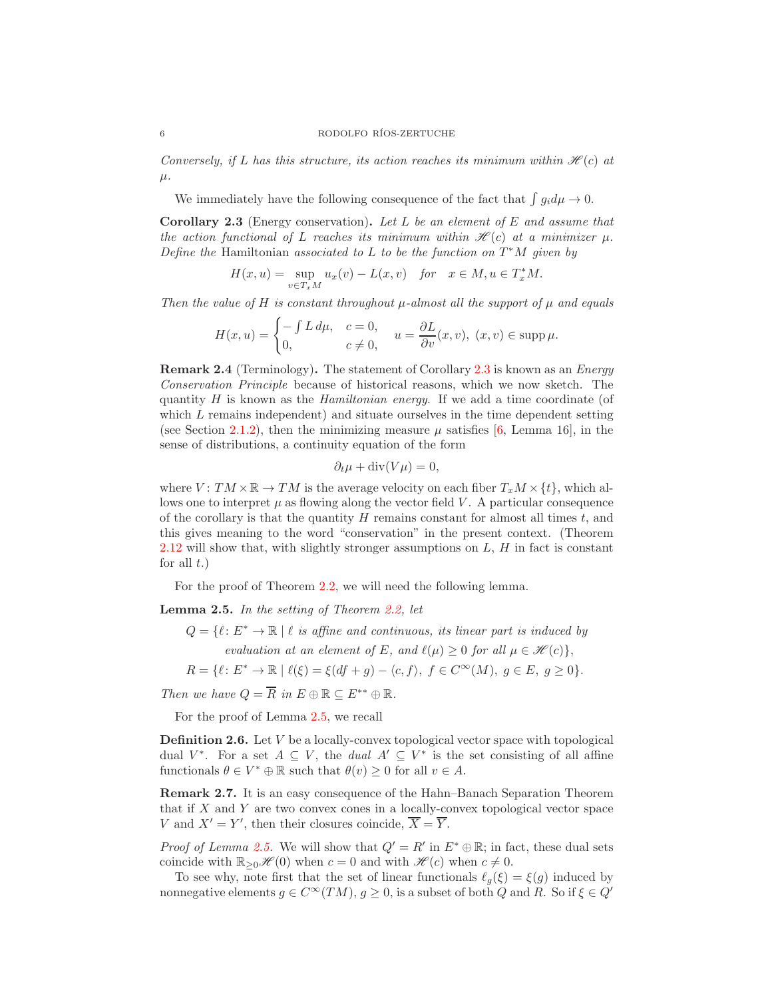Conversely, if L has this structure, its action reaches its minimum within  $\mathcal{H}(c)$  at  $\mu$ .

We immediately have the following consequence of the fact that  $\int g_i d\mu \to 0$ .

<span id="page-5-0"></span>**Corollary 2.3** (Energy conservation). Let L be an element of E and assume that the action functional of L reaches its minimum within  $\mathcal{H}(c)$  at a minimizer  $\mu$ . Define the Hamiltonian associated to L to be the function on  $T^*M$  given by

$$
H(x, u) = \sup_{v \in T_x M} u_x(v) - L(x, v) \quad \text{for} \quad x \in M, u \in T_x^*M.
$$

Then the value of H is constant throughout  $\mu$ -almost all the support of  $\mu$  and equals

$$
H(x, u) = \begin{cases} -\int L \, d\mu, & c = 0, \\ 0, & c \neq 0, \end{cases} u = \frac{\partial L}{\partial v}(x, v), (x, v) \in \text{supp } \mu.
$$

Remark 2.4 (Terminology). The statement of Corollary [2.3](#page-5-0) is known as an Energy Conservation Principle because of historical reasons, which we now sketch. The quantity  $H$  is known as the *Hamiltonian energy*. If we add a time coordinate (of which  $L$  remains independent) and situate ourselves in the time dependent setting (see Section [2.1.2\)](#page-6-0), then the minimizing measure  $\mu$  satisfies [\[6,](#page-23-3) Lemma 16], in the sense of distributions, a continuity equation of the form

$$
\partial_t \mu + \operatorname{div}(V\mu) = 0,
$$

where  $V: TM \times \mathbb{R} \to TM$  is the average velocity on each fiber  $T_xM \times \{t\}$ , which allows one to interpret  $\mu$  as flowing along the vector field V. A particular consequence of the corollary is that the quantity  $H$  remains constant for almost all times  $t$ , and this gives meaning to the word "conservation" in the present context. (Theorem [2.12](#page-7-0) will show that, with slightly stronger assumptions on  $L$ ,  $H$  in fact is constant for all  $t$ .)

For the proof of Theorem [2.2,](#page-4-0) we will need the following lemma.

<span id="page-5-1"></span>**Lemma 2.5.** In the setting of Theorem  $2.2$ , let

- $Q = \{l : E^* \to \mathbb{R} \mid l \text{ is affine and continuous, its linear part is induced by }\}$ evaluation at an element of E, and  $\ell(\mu) \geq 0$  for all  $\mu \in \mathcal{H}(c)$ ,
- $R = \{ \ell : E^* \to \mathbb{R} \mid \ell(\xi) = \xi(df + g) \langle c, f \rangle, f \in C^{\infty}(M), g \in E, g \ge 0 \}.$

Then we have  $Q = \overline{R}$  in  $E \oplus \mathbb{R} \subseteq E^{**} \oplus \mathbb{R}$ .

For the proof of Lemma [2.5,](#page-5-1) we recall

**Definition 2.6.** Let  $V$  be a locally-convex topological vector space with topological dual  $V^*$ . For a set  $A \subseteq V$ , the *dual*  $A' \subseteq V^*$  is the set consisting of all affine functionals  $\theta \in V^* \oplus \mathbb{R}$  such that  $\theta(v) \geq 0$  for all  $v \in A$ .

<span id="page-5-2"></span>Remark 2.7. It is an easy consequence of the Hahn–Banach Separation Theorem that if X and Y are two convex cones in a locally-convex topological vector space V and  $X' = Y'$ , then their closures coincide,  $\overline{X} = \overline{Y}$ .

*Proof of Lemma [2.5.](#page-5-1)* We will show that  $Q' = R'$  in  $E^* \oplus \mathbb{R}$ ; in fact, these dual sets coincide with  $\mathbb{R}_{\geq 0}\mathcal{H}(0)$  when  $c = 0$  and with  $\mathcal{H}(c)$  when  $c \neq 0$ .

To see why, note first that the set of linear functionals  $\ell_q(\xi) = \xi(q)$  induced by nonnegative elements  $g \in C^{\infty}(TM)$ ,  $g \ge 0$ , is a subset of both Q and R. So if  $\xi \in Q'$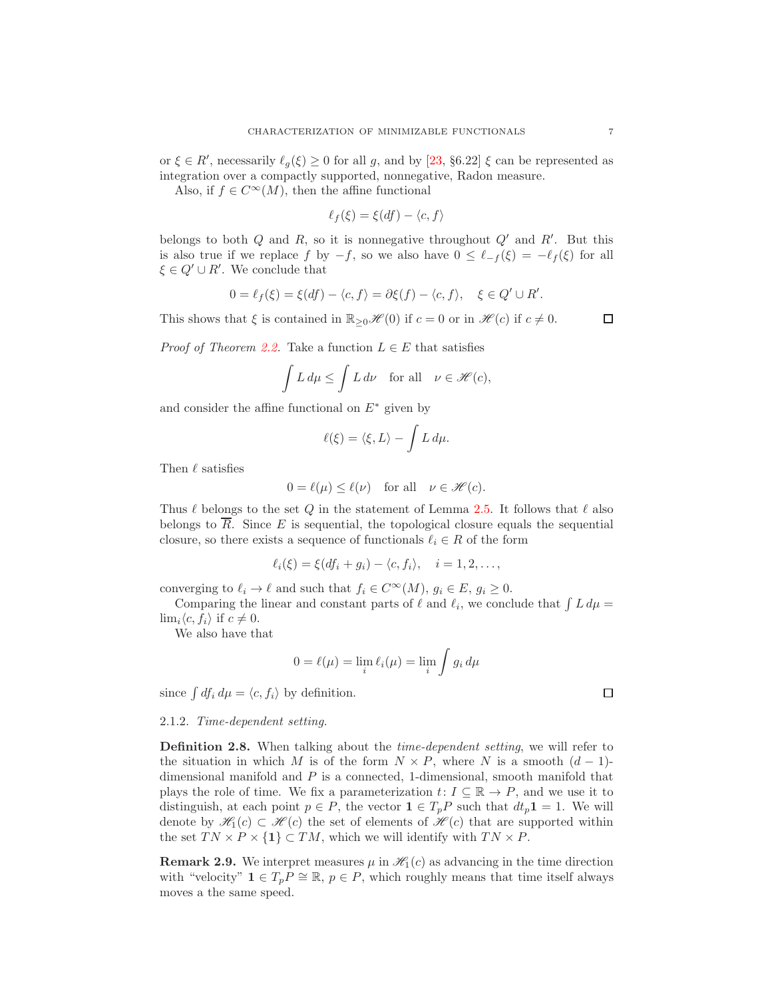or  $\xi \in R'$ , necessarily  $\ell_g(\xi) \geq 0$  for all g, and by [\[23,](#page-24-13) §6.22]  $\xi$  can be represented as integration over a compactly supported, nonnegative, Radon measure.

Also, if  $f \in C^{\infty}(M)$ , then the affine functional

$$
\ell_f(\xi) = \xi(df) - \langle c, f \rangle
$$

belongs to both  $Q$  and  $R$ , so it is nonnegative throughout  $Q'$  and  $R'$ . But this is also true if we replace f by  $-f$ , so we also have  $0 \leq \ell_{-f}(\xi) = -\ell_{f}(\xi)$  for all  $\xi \in Q' \cup R'$ . We conclude that

$$
0 = \ell_f(\xi) = \xi(df) - \langle c, f \rangle = \partial \xi(f) - \langle c, f \rangle, \quad \xi \in Q' \cup R'.
$$

This shows that  $\xi$  is contained in  $\mathbb{R}_{\geq 0}\mathscr{H}(0)$  if  $c = 0$  or in  $\mathscr{H}(c)$  if  $c \neq 0$ .

 $\Box$ 

*Proof of Theorem [2.2.](#page-4-0)* Take a function  $L \in E$  that satisfies

$$
\int L d\mu \le \int L d\nu \quad \text{for all} \quad \nu \in \mathcal{H}(c),
$$

and consider the affine functional on  $E^*$  given by

$$
\ell(\xi) = \langle \xi, L \rangle - \int L \, d\mu.
$$

Then  $\ell$  satisfies

$$
0 = \ell(\mu) \le \ell(\nu) \quad \text{for all} \quad \nu \in \mathcal{H}(c).
$$

Thus  $\ell$  belongs to the set Q in the statement of Lemma [2.5.](#page-5-1) It follows that  $\ell$  also belongs to  $\overline{R}$ . Since E is sequential, the topological closure equals the sequential closure, so there exists a sequence of functionals  $\ell_i \in R$  of the form

$$
\ell_i(\xi) = \xi(df_i + g_i) - \langle c, f_i \rangle, \quad i = 1, 2, \dots,
$$

converging to  $\ell_i \to \ell$  and such that  $f_i \in C^{\infty}(M)$ ,  $g_i \in E$ ,  $g_i \geq 0$ .

Comparing the linear and constant parts of  $\ell$  and  $\ell_i$ , we conclude that  $\int L d\mu =$  $\lim_{i}\langle c, f_{i}\rangle$  if  $c \neq 0$ .

We also have that

$$
0 = \ell(\mu) = \lim_{i} \ell_i(\mu) = \lim_{i} \int g_i d\mu
$$

since  $\int df_i d\mu = \langle c, f_i \rangle$  by definition.

### <span id="page-6-0"></span>2.1.2. Time-dependent setting.

<span id="page-6-1"></span>Definition 2.8. When talking about the time-dependent setting, we will refer to the situation in which M is of the form  $N \times P$ , where N is a smooth  $(d-1)$ dimensional manifold and  $P$  is a connected, 1-dimensional, smooth manifold that plays the role of time. We fix a parameterization  $t: I \subseteq \mathbb{R} \to P$ , and we use it to distinguish, at each point  $p \in P$ , the vector  $\mathbf{1} \in T_pP$  such that  $dt_p \mathbf{1} = 1$ . We will denote by  $\mathcal{H}_1(c) \subset \mathcal{H}(c)$  the set of elements of  $\mathcal{H}(c)$  that are supported within the set  $TN \times P \times \{1\} \subset TM$ , which we will identify with  $TN \times P$ .

**Remark 2.9.** We interpret measures  $\mu$  in  $\mathcal{H}_1(c)$  as advancing in the time direction with "velocity"  $\mathbf{1} \in T_p P \cong \mathbb{R}, p \in P$ , which roughly means that time itself always moves a the same speed.

$$
\Box
$$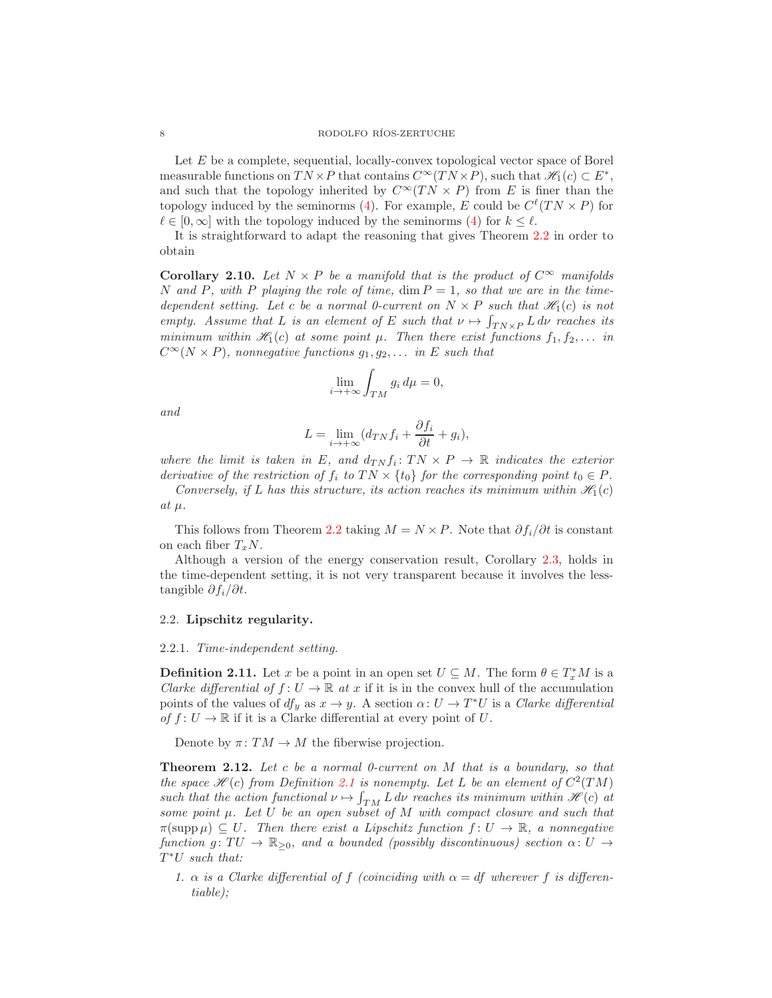Let E be a complete, sequential, locally-convex topological vector space of Borel measurable functions on  $TN \times P$  that contains  $C^{\infty}(TN \times P)$ , such that  $\mathscr{H}_1(c) \subset E^*$ , and such that the topology inherited by  $C^{\infty}(TN \times P)$  from E is finer than the topology induced by the seminorms [\(4\)](#page-4-2). For example, E could be  $C^{\ell}(TN \times P)$  for  $\ell \in [0,\infty]$  with the topology induced by the seminorms [\(4\)](#page-4-2) for  $k \leq \ell$ .

It is straightforward to adapt the reasoning that gives Theorem [2.2](#page-4-0) in order to obtain

<span id="page-7-1"></span>**Corollary 2.10.** Let  $N \times P$  be a manifold that is the product of  $C^{\infty}$  manifolds N and P, with P playing the role of time,  $\dim P = 1$ , so that we are in the timedependent setting. Let c be a normal 0-current on  $N \times P$  such that  $\mathscr{H}_1(c)$  is not empty. Assume that L is an element of E such that  $\nu \mapsto \int_{T N \times P} L d\nu$  reaches its minimum within  $\mathcal{H}_1(c)$  at some point  $\mu$ . Then there exist functions  $f_1, f_2, \ldots$  in  $C^{\infty}(N \times P)$ , nonnegative functions  $g_1, g_2, \ldots$  in E such that

$$
\lim_{i \to +\infty} \int_{TM} g_i \, d\mu = 0,
$$

and

$$
L = \lim_{i \to +\infty} (d_{TN} f_i + \frac{\partial f_i}{\partial t} + g_i),
$$

where the limit is taken in E, and  $d_{TN} f_i : TN \times P \to \mathbb{R}$  indicates the exterior derivative of the restriction of  $f_i$  to  $TN \times \{t_0\}$  for the corresponding point  $t_0 \in P$ .

Conversely, if L has this structure, its action reaches its minimum within  $\mathcal{H}_1(c)$ at  $\mu$ .

This follows from Theorem [2.2](#page-4-0) taking  $M = N \times P$ . Note that  $\partial f_i / \partial t$  is constant on each fiber  $T_xN$ .

Although a version of the energy conservation result, Corollary [2.3,](#page-5-0) holds in the time-dependent setting, it is not very transparent because it involves the lesstangible  $\partial f_i/\partial t$ .

# <span id="page-7-2"></span>2.2. Lipschitz regularity.

#### 2.2.1. Time-independent setting.

**Definition 2.11.** Let x be a point in an open set  $U \subseteq M$ . The form  $\theta \in T_x^*M$  is a Clarke differential of  $f: U \to \mathbb{R}$  at x if it is in the convex hull of the accumulation points of the values of  $df_y$  as  $x \to y$ . A section  $\alpha: U \to T^*U$  is a *Clarke differential* of  $f: U \to \mathbb{R}$  if it is a Clarke differential at every point of U.

Denote by  $\pi \colon TM \to M$  the fiberwise projection.

<span id="page-7-0"></span>**Theorem 2.12.** Let c be a normal 0-current on  $M$  that is a boundary, so that the space  $\mathcal{H}(c)$  from Definition [2.1](#page-4-1) is nonempty. Let L be an element of  $C^2(TM)$ such that the action functional  $\nu \mapsto \int_{TM} L \, d\nu$  reaches its minimum within  $\mathscr{H}(c)$  at some point  $\mu$ . Let U be an open subset of M with compact closure and such that  $\pi(\text{supp }\mu) \subset U$ . Then there exist a Lipschitz function  $f: U \to \mathbb{R}$ , a nonnegative function g:  $TU \to \mathbb{R}_{\geq 0}$ , and a bounded (possibly discontinuous) section  $\alpha: U \to$ T <sup>∗</sup>U such that:

<span id="page-7-3"></span>1.  $\alpha$  is a Clarke differential of f (coinciding with  $\alpha = df$  wherever f is differentiable);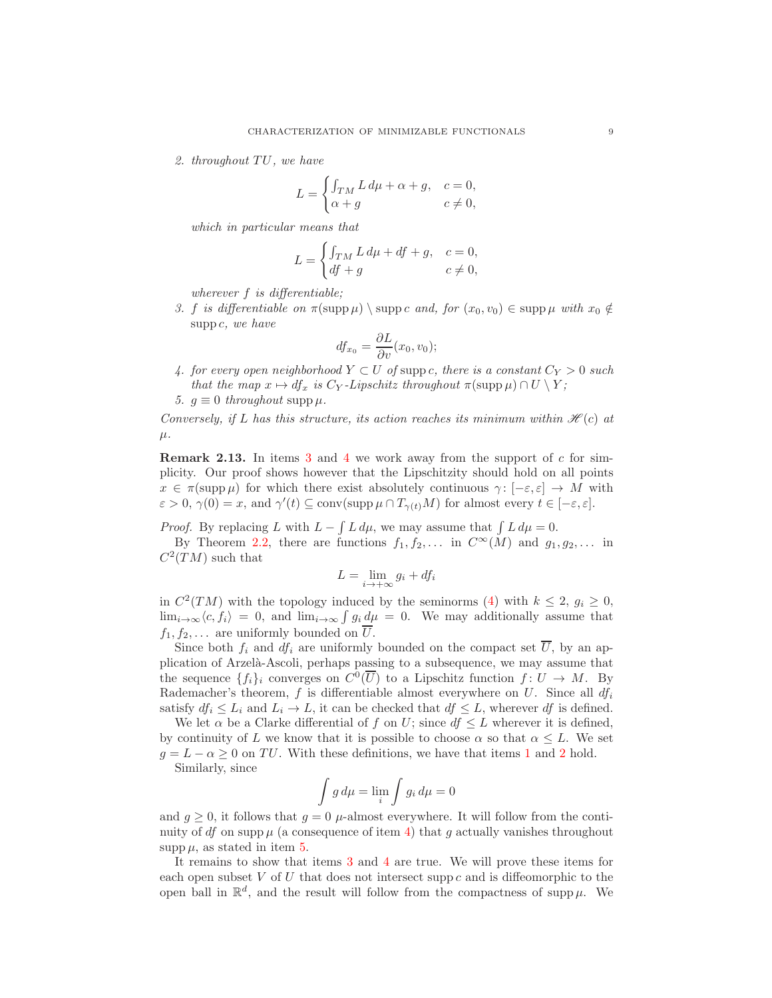<span id="page-8-2"></span>2. throughout  $TU$ , we have

$$
L = \begin{cases} \int_{TM} L d\mu + \alpha + g, & c = 0, \\ \alpha + g & c \neq 0, \end{cases}
$$

which in particular means that

$$
L = \begin{cases} \int_{TM} L \, d\mu + df + g, & c = 0, \\ df + g & c \neq 0, \end{cases}
$$

wherever f is differentiable;

<span id="page-8-0"></span>3. f is differentiable on  $\pi(\text{supp }\mu) \setminus \text{supp } c$  and, for  $(x_0, v_0) \in \text{supp }\mu$  with  $x_0 \notin$ supp  $c$ , we have

$$
df_{x_0} = \frac{\partial L}{\partial v}(x_0, v_0);
$$

<span id="page-8-1"></span>4. for every open neighborhood  $Y \subset U$  of supp c, there is a constant  $C_Y > 0$  such that the map  $x \mapsto df_x$  is  $C_Y$ -Lipschitz throughout  $\pi(\text{supp }\mu) \cap U \setminus Y$ ;

<span id="page-8-3"></span>5.  $g \equiv 0$  throughout supp  $\mu$ .

Conversely, if L has this structure, its action reaches its minimum within  $\mathcal{H}(c)$  at  $\mu$ .

Remark 2.13. In items [3](#page-8-0) and [4](#page-8-1) we work away from the support of c for simplicity. Our proof shows however that the Lipschitzity should hold on all points  $x \in \pi(\text{supp }\mu)$  for which there exist absolutely continuous  $\gamma : [-\varepsilon, \varepsilon] \to M$  with  $\varepsilon > 0$ ,  $\gamma(0) = x$ , and  $\gamma'(t) \subseteq \text{conv}(\text{supp }\mu \cap T_{\gamma(t)}M)$  for almost every  $t \in [-\varepsilon, \varepsilon]$ .

*Proof.* By replacing L with  $L - \int L d\mu$ , we may assume that  $\int L d\mu = 0$ . By Theorem [2.2,](#page-4-0) there are functions  $f_1, f_2, \ldots$  in  $C^{\infty}(M)$  and  $g_1, g_2, \ldots$  in  $C^2(TM)$  such that

$$
L = \lim_{i \to +\infty} g_i + df_i
$$

in  $C^2(TM)$  with the topology induced by the seminorms [\(4\)](#page-4-2) with  $k \leq 2$ ,  $g_i \geq 0$ ,  $\lim_{i\to\infty}\langle c, f_i\rangle = 0$ , and  $\lim_{i\to\infty}\int g_i d\mu = 0$ . We may additionally assume that  $f_1, f_2, \ldots$  are uniformly bounded on  $\overline{U}$ .

Since both  $f_i$  and  $df_i$  are uniformly bounded on the compact set  $\overline{U}$ , by an application of Arzel`a-Ascoli, perhaps passing to a subsequence, we may assume that the sequence  $\{f_i\}_i$  converges on  $C^0(\overline{U})$  to a Lipschitz function  $f: U \to M$ . By Rademacher's theorem,  $f$  is differentiable almost everywhere on  $U$ . Since all  $df_i$ satisfy  $df_i \leq L_i$  and  $L_i \to L$ , it can be checked that  $df \leq L$ , wherever df is defined.

We let  $\alpha$  be a Clarke differential of f on U; since  $df \leq L$  wherever it is defined, by continuity of L we know that it is possible to choose  $\alpha$  so that  $\alpha \leq L$ . We set  $g = L - \alpha \geq 0$  on TU. With these definitions, we have that items [1](#page-7-3) and [2](#page-8-2) hold. Similarly, since

$$
\int g d\mu = \lim_{i} \int g_i d\mu = 0
$$

and  $g \geq 0$ , it follows that  $g = 0$   $\mu$ -almost everywhere. It will follow from the continuity of df on supp  $\mu$  (a consequence of item [4\)](#page-8-1) that g actually vanishes throughout supp  $\mu$ , as stated in item [5.](#page-8-3)

It remains to show that items [3](#page-8-0) and [4](#page-8-1) are true. We will prove these items for each open subset  $V$  of  $U$  that does not intersect supp  $c$  and is diffeomorphic to the open ball in  $\mathbb{R}^d$ , and the result will follow from the compactness of supp  $\mu$ . We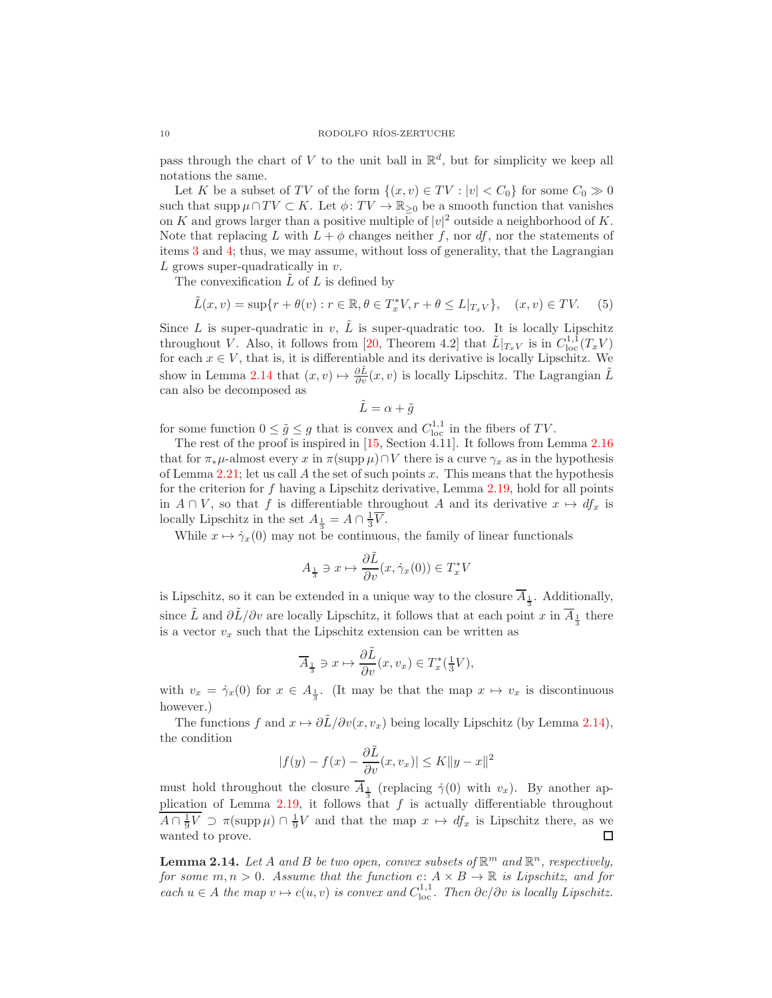pass through the chart of V to the unit ball in  $\mathbb{R}^d$ , but for simplicity we keep all notations the same.

Let K be a subset of TV of the form  $\{(x, v) \in TV : |v| < C_0\}$  for some  $C_0 \gg 0$ such that supp  $\mu \cap TV \subset K$ . Let  $\phi: TV \to \mathbb{R}_{\geq 0}$  be a smooth function that vanishes on K and grows larger than a positive multiple of  $|v|^2$  outside a neighborhood of K. Note that replacing L with  $L + \phi$  changes neither f, nor df, nor the statements of items [3](#page-8-0) and [4;](#page-8-1) thus, we may assume, without loss of generality, that the Lagrangian  $L$  grows super-quadratically in  $v$ .

The convexification  $L$  of  $L$  is defined by

$$
\tilde{L}(x,v) = \sup\{r + \theta(v) : r \in \mathbb{R}, \theta \in T_x^*V, r + \theta \le L|_{T_xV}\}, \quad (x,v) \in TV. \tag{5}
$$

Since  $L$  is super-quadratic in  $v$ ,  $\overline{L}$  is super-quadratic too. It is locally Lipschitz throughout V. Also, it follows from [\[20,](#page-24-14) Theorem 4.2] that  $\tilde{L}|_{T_xV}$  is in  $C^{1,1}_{loc}(T_xV)$ for each  $x \in V$ , that is, it is differentiable and its derivative is locally Lipschitz. We show in Lemma [2.14](#page-9-0) that  $(x, v) \mapsto \frac{\partial \tilde{L}}{\partial v}(x, v)$  is locally Lipschitz. The Lagrangian  $\tilde{L}$ can also be decomposed as

$$
\tilde{L} = \alpha + \tilde{g}
$$

for some function  $0 \le \tilde{g} \le g$  that is convex and  $C^{1,1}_{loc}$  in the fibers of TV.

The rest of the proof is inspired in [\[15,](#page-24-1) Section 4.11]. It follows from Lemma [2.16](#page-10-0) that for  $\pi_*\mu$ -almost every x in  $\pi(\text{supp }\mu)\cap V$  there is a curve  $\gamma_x$  as in the hypothesis of Lemma [2.21;](#page-12-0) let us call A the set of such points x. This means that the hypothesis for the criterion for f having a Lipschitz derivative, Lemma [2.19,](#page-12-1) hold for all points in  $A \cap V$ , so that f is differentiable throughout A and its derivative  $x \mapsto df_x$  is locally Lipschitz in the set  $A_{\frac{1}{3}} = A \cap \frac{1}{3}\overline{V}$ .

While  $x \mapsto \dot{\gamma}_x(0)$  may not be continuous, the family of linear functionals

$$
A_{\frac{1}{3}} \ni x \mapsto \frac{\partial \tilde{L}}{\partial v}(x, \dot{\gamma}_x(0)) \in T_x^* V
$$

is Lipschitz, so it can be extended in a unique way to the closure  $A_{\frac{1}{3}}$ . Additionally, since  $\tilde{L}$  and  $\partial \tilde{L}/\partial v$  are locally Lipschitz, it follows that at each point x in  $\overline{A}_{\frac{1}{3}}$  there is a vector  $v_x$  such that the Lipschitz extension can be written as

$$
\overline{A}_{\frac{1}{3}} \ni x \mapsto \frac{\partial \tilde{L}}{\partial v}(x, v_x) \in T_x^*(\frac{1}{3}V),
$$

with  $v_x = \dot{\gamma}_x(0)$  for  $x \in A_{\frac{1}{3}}$ . (It may be that the map  $x \mapsto v_x$  is discontinuous however.)

The functions f and  $x \mapsto \partial \tilde{L}/\partial v(x, v_x)$  being locally Lipschitz (by Lemma [2.14\)](#page-9-0), the condition

$$
|f(y) - f(x) - \frac{\partial \tilde{L}}{\partial v}(x, v_x)| \le K ||y - x||^2
$$

must hold throughout the closure  $A_{\frac{1}{2}}$  (replacing  $\dot{\gamma}(0)$  with  $v_x$ ). By another ap-plication of Lemma [2.19,](#page-12-1) it follows that f is actually differentiable throughout  $A \cap \frac{1}{9}V \supset \pi(\text{supp }\mu) \cap \frac{1}{9}V$  and that the map  $x \mapsto df_x$  is Lipschitz there, as we wanted to prove. □

<span id="page-9-0"></span>**Lemma 2.14.** Let A and B be two open, convex subsets of  $\mathbb{R}^m$  and  $\mathbb{R}^n$ , respectively, for some  $m, n > 0$ . Assume that the function  $c: A \times B \to \mathbb{R}$  is Lipschitz, and for each  $u \in A$  the map  $v \mapsto c(u, v)$  is convex and  $C^{1,1}_{loc}$ . Then  $\partial c/\partial v$  is locally Lipschitz.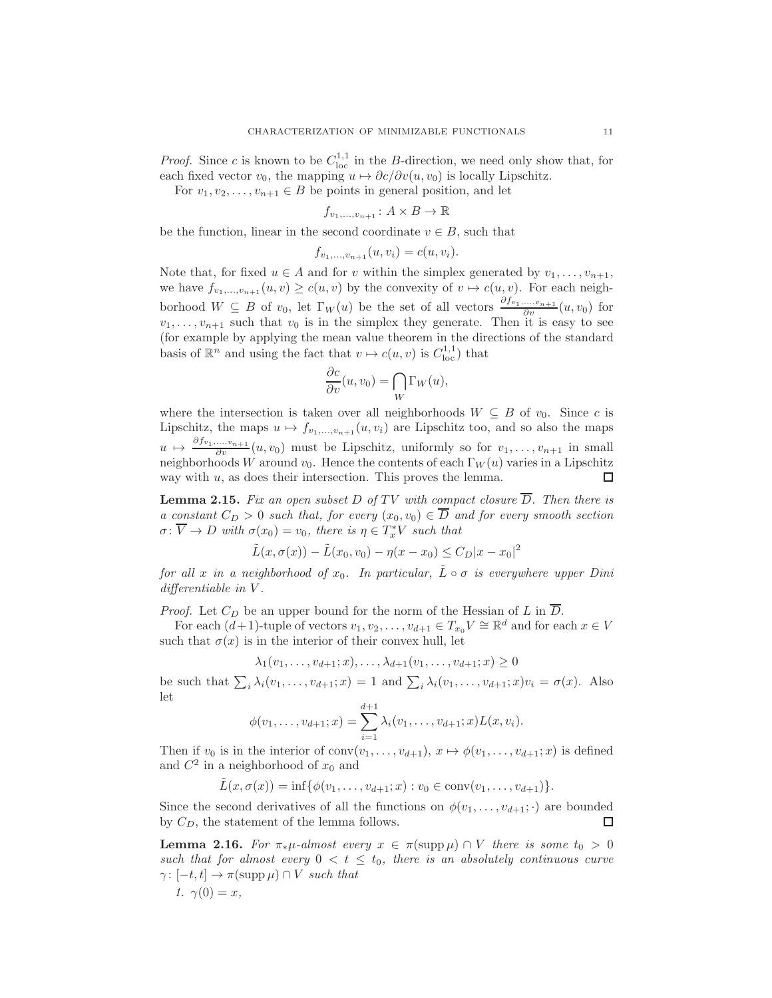*Proof.* Since c is known to be  $C_{\text{loc}}^{1,1}$  in the B-direction, we need only show that, for each fixed vector  $v_0$ , the mapping  $u \mapsto \partial c/\partial v(u, v_0)$  is locally Lipschitz.

For  $v_1, v_2, \ldots, v_{n+1} \in B$  be points in general position, and let

$$
f_{v_1,\ldots,v_{n+1}}\colon A\times B\to\mathbb{R}
$$

be the function, linear in the second coordinate  $v \in B$ , such that

$$
f_{v_1,...,v_{n+1}}(u,v_i) = c(u,v_i).
$$

Note that, for fixed  $u \in A$  and for v within the simplex generated by  $v_1, \ldots, v_{n+1}$ , we have  $f_{v_1,...,v_{n+1}}(u, v) \ge c(u, v)$  by the convexity of  $v \mapsto c(u, v)$ . For each neighborhood  $W \subseteq B$  of  $v_0$ , let  $\Gamma_W(u)$  be the set of all vectors  $\frac{\partial f_{v_1,...,v_{n+1}}}{\partial v}(u, v_0)$  for  $v_1, \ldots, v_{n+1}$  such that  $v_0$  is in the simplex they generate. Then it is easy to see (for example by applying the mean value theorem in the directions of the standard basis of  $\mathbb{R}^n$  and using the fact that  $v \mapsto c(u, v)$  is  $C^{1,1}_{loc}$  that

$$
\frac{\partial c}{\partial v}(u, v_0) = \bigcap_W \Gamma_W(u),
$$

where the intersection is taken over all neighborhoods  $W \subseteq B$  of  $v_0$ . Since c is Lipschitz, the maps  $u \mapsto f_{v_1,...,v_{n+1}} (u, v_i)$  are Lipschitz too, and so also the maps  $u \mapsto \frac{\partial f_{v_1,\ldots,v_{n+1}}}{\partial v}(u,v_0)$  must be Lipschitz, uniformly so for  $v_1,\ldots,v_{n+1}$  in small neighborhoods W around  $v_0$ . Hence the contents of each  $\Gamma_W(u)$  varies in a Lipschitz way with  $u$ , as does their intersection. This proves the lemma. □

<span id="page-10-1"></span>**Lemma 2.15.** Fix an open subset D of TV with compact closure  $\overline{D}$ . Then there is a constant  $C_D > 0$  such that, for every  $(x_0, v_0) \in \overline{D}$  and for every smooth section  $\sigma \colon \overline{V} \to D$  with  $\sigma(x_0) = v_0$ , there is  $\eta \in T_x^*V$  such that

$$
\tilde{L}(x, \sigma(x)) - \tilde{L}(x_0, v_0) - \eta(x - x_0) \le C_D |x - x_0|^2
$$

for all x in a neighborhood of  $x_0$ . In particular,  $\tilde{L} \circ \sigma$  is everywhere upper Dini differentiable in V .

*Proof.* Let  $C_D$  be an upper bound for the norm of the Hessian of L in  $\overline{D}$ .

For each  $(d+1)$ -tuple of vectors  $v_1, v_2, \ldots, v_{d+1} \in T_{x_0}V \cong \mathbb{R}^d$  and for each  $x \in V$ such that  $\sigma(x)$  is in the interior of their convex hull, let

$$
\lambda_1(v_1, \ldots, v_{d+1}; x), \ldots, \lambda_{d+1}(v_1, \ldots, v_{d+1}; x) \ge 0
$$

be such that  $\sum_i \lambda_i(v_1,\ldots,v_{d+1};x) = 1$  and  $\sum_i \lambda_i(v_1,\ldots,v_{d+1};x)v_i = \sigma(x)$ . Also let

$$
\phi(v_1,\ldots,v_{d+1};x)=\sum_{i=1}^{d+1}\lambda_i(v_1,\ldots,v_{d+1};x)L(x,v_i).
$$

Then if  $v_0$  is in the interior of  $\text{conv}(v_1, \ldots, v_{d+1}), x \mapsto \phi(v_1, \ldots, v_{d+1}; x)$  is defined and  $C^2$  in a neighborhood of  $x_0$  and

$$
\tilde{L}(x, \sigma(x)) = \inf \{ \phi(v_1, \ldots, v_{d+1}; x) : v_0 \in \text{conv}(v_1, \ldots, v_{d+1}) \}.
$$

Since the second derivatives of all the functions on  $\phi(v_1, \ldots, v_{d+1}; \cdot)$  are bounded by  $C_D$ , the statement of the lemma follows. □

<span id="page-10-0"></span>**Lemma 2.16.** For  $\pi_*\mu$ -almost every  $x \in \pi(\text{supp }\mu) \cap V$  there is some  $t_0 > 0$ such that for almost every  $0 < t \leq t_0$ , there is an absolutely continuous curve  $\gamma : [-t, t] \to \pi(\text{supp }\mu) \cap V$  such that

$$
1. \ \gamma(0) = x,
$$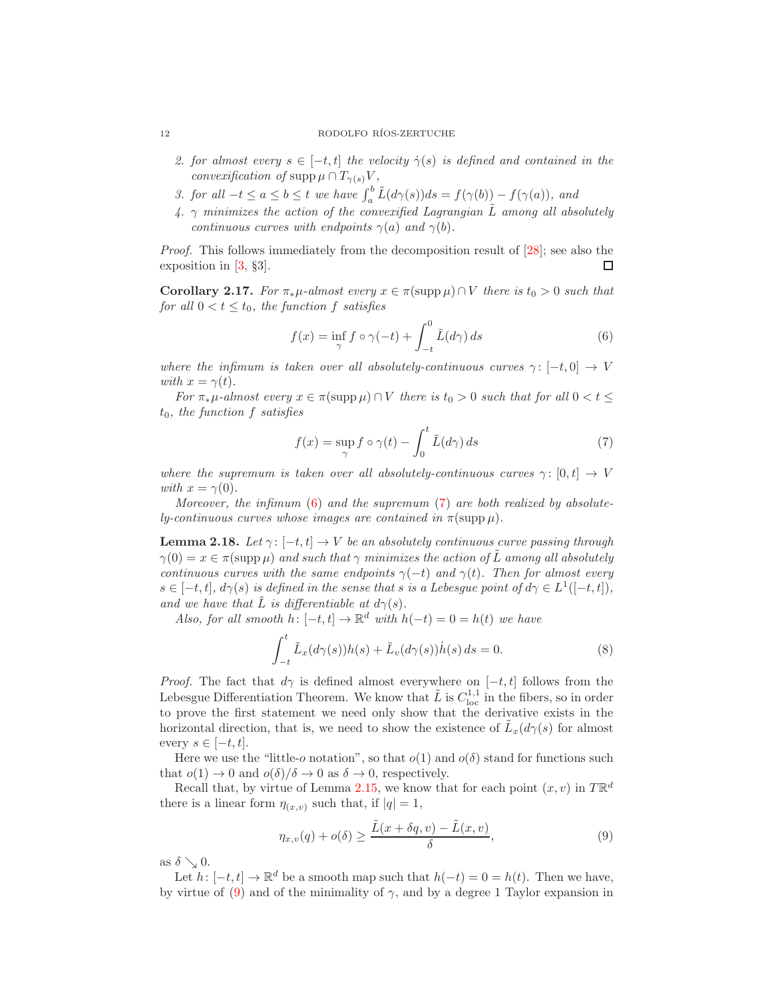- 2. for almost every  $s \in [-t, t]$  the velocity  $\dot{\gamma}(s)$  is defined and contained in the convexification of supp  $\mu \cap T_{\gamma(s)}V$ ,
- 3. for all  $-t \le a \le b \le t$  we have  $\int_a^b \tilde{L}(d\gamma(s))ds = f(\gamma(b)) f(\gamma(a))$ , and
- 4.  $\gamma$  minimizes the action of the convexified Lagrangian  $\tilde{L}$  among all absolutely continuous curves with endpoints  $\gamma(a)$  and  $\gamma(b)$ .

Proof. This follows immediately from the decomposition result of [\[28\]](#page-24-15); see also the exposition in [\[3,](#page-23-4) §3]. □

<span id="page-11-5"></span>**Corollary 2.17.** For  $\pi_*\mu$ -almost every  $x \in \pi(\text{supp }\mu) \cap V$  there is  $t_0 > 0$  such that for all  $0 < t \leq t_0$ , the function f satisfies

<span id="page-11-0"></span>
$$
f(x) = \inf_{\gamma} f \circ \gamma(-t) + \int_{-t}^{0} \tilde{L}(d\gamma) ds
$$
 (6)

where the infimum is taken over all absolutely-continuous curves  $\gamma: [-t, 0] \to V$ with  $x = \gamma(t)$ .

For  $\pi_*\mu$ -almost every  $x \in \pi(\text{supp }\mu) \cap V$  there is  $t_0 > 0$  such that for all  $0 < t \leq$  $t_0$ , the function f satisfies

<span id="page-11-1"></span>
$$
f(x) = \sup_{\gamma} f \circ \gamma(t) - \int_0^t \tilde{L}(d\gamma) ds \tag{7}
$$

where the supremum is taken over all absolutely-continuous curves  $\gamma: [0, t] \rightarrow V$ with  $x = \gamma(0)$ .

Moreover, the infimum  $(6)$  and the supremum  $(7)$  are both realized by absolutely-continuous curves whose images are contained in  $\pi(\text{supp }\mu)$ .

<span id="page-11-4"></span>**Lemma 2.18.** Let  $\gamma: [-t, t] \to V$  be an absolutely continuous curve passing through  $\gamma(0) = x \in \pi(\text{supp }\mu)$  and such that  $\gamma$  minimizes the action of L among all absolutely continuous curves with the same endpoints  $\gamma(-t)$  and  $\gamma(t)$ . Then for almost every  $s \in [-t, t], d\gamma(s)$  is defined in the sense that s is a Lebesgue point of  $d\gamma \in L^1([-t, t]),$ and we have that  $\tilde{L}$  is differentiable at  $d\gamma(s)$ .

Also, for all smooth  $h: [-t, t] \to \mathbb{R}^d$  with  $h(-t) = 0 = h(t)$  we have

<span id="page-11-3"></span>
$$
\int_{-t}^{t} \tilde{L}_x(d\gamma(s))h(s) + \tilde{L}_v(d\gamma(s))\dot{h}(s) ds = 0.
$$
 (8)

*Proof.* The fact that  $d\gamma$  is defined almost everywhere on  $[-t, t]$  follows from the Lebesgue Differentiation Theorem. We know that  $\tilde{L}$  is  $C_{\text{loc}}^{1,1}$  in the fibers, so in order to prove the first statement we need only show that the derivative exists in the horizontal direction, that is, we need to show the existence of  $\tilde{L}_x(d\gamma(s))$  for almost every  $s \in [-t, t]$ .

Here we use the "little-o notation", so that  $o(1)$  and  $o(\delta)$  stand for functions such that  $o(1) \to 0$  and  $o(\delta)/\delta \to 0$  as  $\delta \to 0$ , respectively.

Recall that, by virtue of Lemma [2.15,](#page-10-1) we know that for each point  $(x, v)$  in  $T \mathbb{R}^d$ there is a linear form  $\eta_{(x,v)}$  such that, if  $|q|=1$ ,

<span id="page-11-2"></span>
$$
\eta_{x,v}(q) + o(\delta) \ge \frac{\tilde{L}(x + \delta q, v) - \tilde{L}(x, v)}{\delta},\tag{9}
$$

as  $\delta \searrow 0$ .

Let  $h: [-t, t] \to \mathbb{R}^d$  be a smooth map such that  $h(-t) = 0 = h(t)$ . Then we have, by virtue of [\(9\)](#page-11-2) and of the minimality of  $\gamma$ , and by a degree 1 Taylor expansion in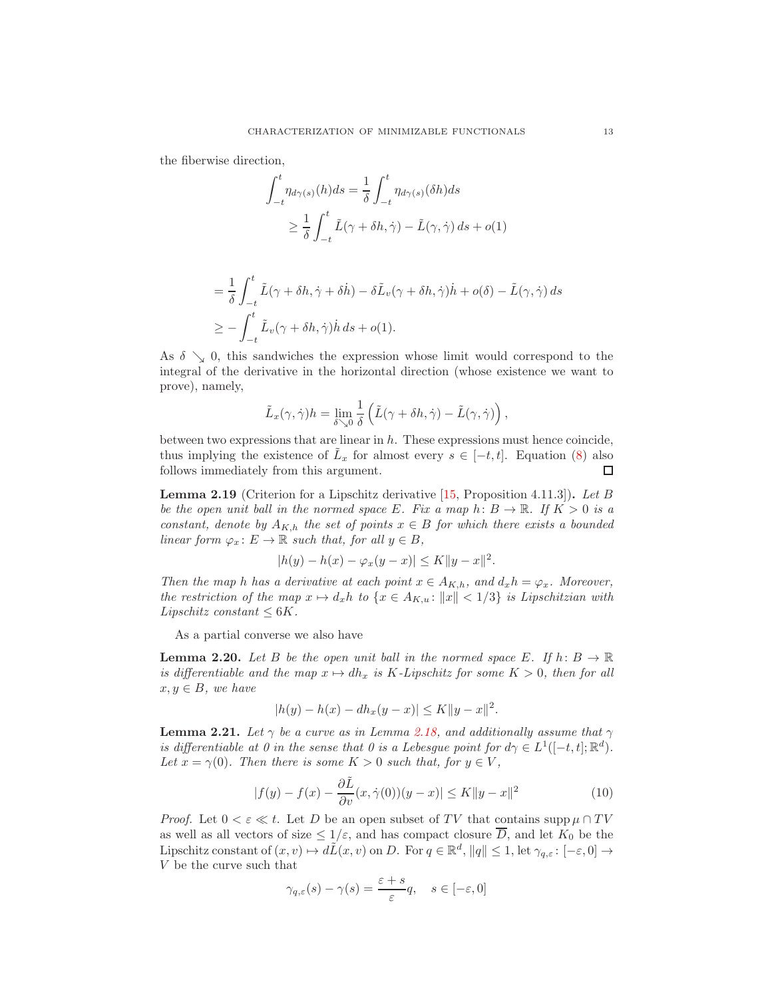the fiberwise direction,

$$
\int_{-t}^{t} \eta_{d\gamma(s)}(h)ds = \frac{1}{\delta} \int_{-t}^{t} \eta_{d\gamma(s)}(\delta h)ds
$$
  

$$
\geq \frac{1}{\delta} \int_{-t}^{t} \tilde{L}(\gamma + \delta h, \dot{\gamma}) - \tilde{L}(\gamma, \dot{\gamma}) ds + o(1)
$$

$$
= \frac{1}{\delta} \int_{-t}^{t} \tilde{L}(\gamma + \delta h, \dot{\gamma} + \delta \dot{h}) - \delta \tilde{L}_{v}(\gamma + \delta h, \dot{\gamma}) \dot{h} + o(\delta) - \tilde{L}(\gamma, \dot{\gamma}) ds
$$
  

$$
\geq - \int_{-t}^{t} \tilde{L}_{v}(\gamma + \delta h, \dot{\gamma}) \dot{h} ds + o(1).
$$

As  $\delta \searrow 0$ , this sandwiches the expression whose limit would correspond to the integral of the derivative in the horizontal direction (whose existence we want to prove), namely,

$$
\tilde{L}_x(\gamma, \dot{\gamma})h = \lim_{\delta \searrow 0} \frac{1}{\delta} \left( \tilde{L}(\gamma + \delta h, \dot{\gamma}) - \tilde{L}(\gamma, \dot{\gamma}) \right),
$$

between two expressions that are linear in h. These expressions must hence coincide, thus implying the existence of  $\tilde{L}_x$  for almost every  $s \in [-t, t]$ . Equation [\(8\)](#page-11-3) also follows immediately from this argument. □

<span id="page-12-1"></span>**Lemma 2.19** (Criterion for a Lipschitz derivative  $[15,$  Proposition 4.11.3]). Let B be the open unit ball in the normed space E. Fix a map  $h: B \to \mathbb{R}$ . If  $K > 0$  is a constant, denote by  $A_{K,h}$  the set of points  $x \in B$  for which there exists a bounded linear form  $\varphi_x \colon E \to \mathbb{R}$  such that, for all  $y \in B$ ,

$$
|h(y) - h(x) - \varphi_x(y - x)| \le K \|y - x\|^2.
$$

Then the map h has a derivative at each point  $x \in A_{K,h}$ , and  $d_x h = \varphi_x$ . Moreover, the restriction of the map  $x \mapsto d_x h$  to  $\{x \in A_{K,u} : ||x|| < 1/3\}$  is Lipschitzian with Lipschitz constant  $\leq 6K$ .

As a partial converse we also have

<span id="page-12-2"></span>**Lemma 2.20.** Let B be the open unit ball in the normed space E. If  $h: B \to \mathbb{R}$ is differentiable and the map  $x \mapsto dh_x$  is K-Lipschitz for some  $K > 0$ , then for all  $x, y \in B$ , we have

$$
|h(y) - h(x) - dh_x(y - x)| \le K ||y - x||^2.
$$

<span id="page-12-0"></span>**Lemma 2.21.** Let  $\gamma$  be a curve as in Lemma [2.18,](#page-11-4) and additionally assume that  $\gamma$ is differentiable at 0 in the sense that 0 is a Lebesgue point for  $d\gamma \in L^1([-t,t];\mathbb{R}^d)$ . Let  $x = \gamma(0)$ . Then there is some  $K > 0$  such that, for  $y \in V$ ,

$$
|f(y) - f(x) - \frac{\partial \tilde{L}}{\partial v}(x, \dot{\gamma}(0))(y - x)| \le K \|y - x\|^2 \tag{10}
$$

*Proof.* Let  $0 < \varepsilon \ll t$ . Let D be an open subset of TV that contains supp  $\mu \cap TV$ as well as all vectors of size  $\leq 1/\varepsilon$ , and has compact closure  $\overline{D}$ , and let  $K_0$  be the Lipschitz constant of  $(x, v) \mapsto d\tilde{L}(x, v)$  on D. For  $q \in \mathbb{R}^d$ ,  $||q|| \leq 1$ , let  $\gamma_{q,\varepsilon} : [-\varepsilon, 0] \to$ V be the curve such that

$$
\gamma_{q,\varepsilon}(s) - \gamma(s) = \frac{\varepsilon + s}{\varepsilon} q, \quad s \in [-\varepsilon, 0]
$$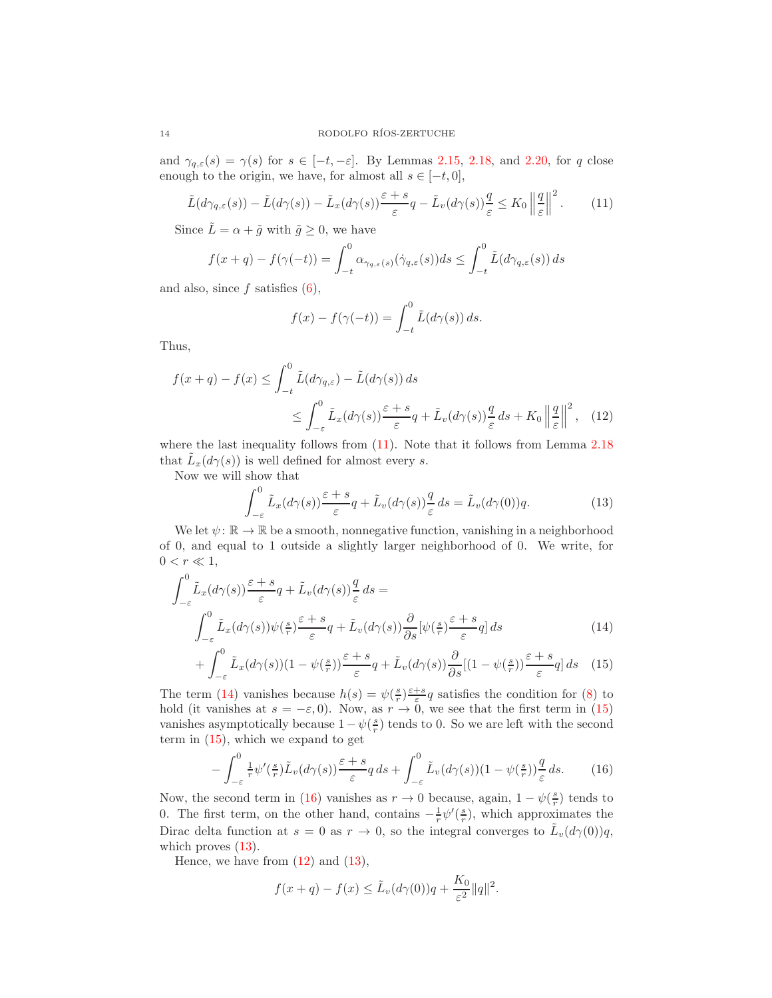and  $\gamma_{q,\varepsilon}(s) = \gamma(s)$  for  $s \in [-t, -\varepsilon]$ . By Lemmas [2.15,](#page-10-1) [2.18,](#page-11-4) and [2.20,](#page-12-2) for q close enough to the origin, we have, for almost all  $s \in [-t, 0]$ ,

<span id="page-13-0"></span>
$$
\tilde{L}(d\gamma_{q,\varepsilon}(s)) - \tilde{L}(d\gamma(s)) - \tilde{L}_x(d\gamma(s)) \frac{\varepsilon + s}{\varepsilon}q - \tilde{L}_v(d\gamma(s)) \frac{q}{\varepsilon} \le K_0 \left\| \frac{q}{\varepsilon} \right\|^2.
$$
\n(11)

Since  $\tilde{L} = \alpha + \tilde{g}$  with  $\tilde{g} \geq 0$ , we have

$$
f(x+q) - f(\gamma(-t)) = \int_{-t}^{0} \alpha_{\gamma_{q,\varepsilon}(s)}(\dot{\gamma}_{q,\varepsilon}(s))ds \le \int_{-t}^{0} \tilde{L}(d\gamma_{q,\varepsilon}(s))ds
$$

and also, since  $f$  satisfies  $(6)$ ,

<span id="page-13-5"></span>
$$
f(x) - f(\gamma(-t)) = \int_{-t}^{0} \tilde{L}(d\gamma(s)) ds.
$$

Thus,

$$
f(x+q) - f(x) \le \int_{-t}^{0} \tilde{L}(d\gamma_{q,\varepsilon}) - \tilde{L}(d\gamma(s)) ds
$$
  

$$
\le \int_{-\varepsilon}^{0} \tilde{L}_x(d\gamma(s)) \frac{\varepsilon + s}{\varepsilon} q + \tilde{L}_v(d\gamma(s)) \frac{q}{\varepsilon} ds + K_0 \left\| \frac{q}{\varepsilon} \right\|^2, \quad (12)
$$

where the last inequality follows from  $(11)$ . Note that it follows from Lemma [2.18](#page-11-4) that  $\tilde{L}_x(d\gamma(s))$  is well defined for almost every s.

Now we will show that

<span id="page-13-4"></span><span id="page-13-2"></span><span id="page-13-1"></span>
$$
\int_{-\varepsilon}^{0} \tilde{L}_x(d\gamma(s)) \frac{\varepsilon + s}{\varepsilon} q + \tilde{L}_v(d\gamma(s)) \frac{q}{\varepsilon} ds = \tilde{L}_v(d\gamma(0)) q.
$$
 (13)

We let  $\psi: \mathbb{R} \to \mathbb{R}$  be a smooth, nonnegative function, vanishing in a neighborhood of 0, and equal to 1 outside a slightly larger neighborhood of 0. We write, for  $0 < r \ll 1,$ 

$$
\int_{-\varepsilon}^{0} \tilde{L}_x(d\gamma(s)) \frac{\varepsilon + s}{\varepsilon} q + \tilde{L}_v(d\gamma(s)) \frac{q}{\varepsilon} ds =
$$
\n
$$
\int_{-\varepsilon}^{0} \tilde{L}_x(d\gamma(s)) \psi(\frac{s}{r}) \frac{\varepsilon + s}{\varepsilon} q + \tilde{L}_v(d\gamma(s)) \frac{\partial}{\partial s} [\psi(\frac{s}{r}) \frac{\varepsilon + s}{\varepsilon} q] ds \tag{14}
$$

$$
+\int_{-\varepsilon}^{0} \tilde{L}_x(d\gamma(s))(1-\psi(\tfrac{s}{r}))\frac{\varepsilon+s}{\varepsilon}q + \tilde{L}_v(d\gamma(s))\frac{\partial}{\partial s}[(1-\psi(\tfrac{s}{r}))\frac{\varepsilon+s}{\varepsilon}q]ds \quad (15)
$$

The term [\(14\)](#page-13-1) vanishes because  $h(s) = \psi(\frac{s}{r}) \frac{\varepsilon+s}{\varepsilon} q$  satisfies the condition for [\(8\)](#page-11-3) to hold (it vanishes at  $s = -\varepsilon, 0$ ). Now, as  $r \to 0$ , we see that the first term in [\(15\)](#page-13-2) vanishes asymptotically because  $1 - \psi(\frac{s}{r})$  tends to 0. So we are left with the second term in [\(15\)](#page-13-2), which we expand to get

<span id="page-13-3"></span>
$$
-\int_{-\varepsilon}^{0} \frac{1}{r} \psi'(\frac{s}{r}) \tilde{L}_v(d\gamma(s)) \frac{\varepsilon+s}{\varepsilon} q \, ds + \int_{-\varepsilon}^{0} \tilde{L}_v(d\gamma(s))(1-\psi(\frac{s}{r})) \frac{q}{\varepsilon} \, ds. \tag{16}
$$

Now, the second term in [\(16\)](#page-13-3) vanishes as  $r \to 0$  because, again,  $1 - \psi(\frac{s}{r})$  tends to 0. The first term, on the other hand, contains  $-\frac{1}{r}\psi'(\frac{s}{r})$ , which approximates the Dirac delta function at  $s = 0$  as  $r \to 0$ , so the integral converges to  $\tilde{L}_v(d\gamma(0))q$ , which proves  $(13)$ .

Hence, we have from  $(12)$  and  $(13)$ ,

$$
f(x+q) - f(x) \le \tilde{L}_v(d\gamma(0))q + \frac{K_0}{\varepsilon^2} \|q\|^2.
$$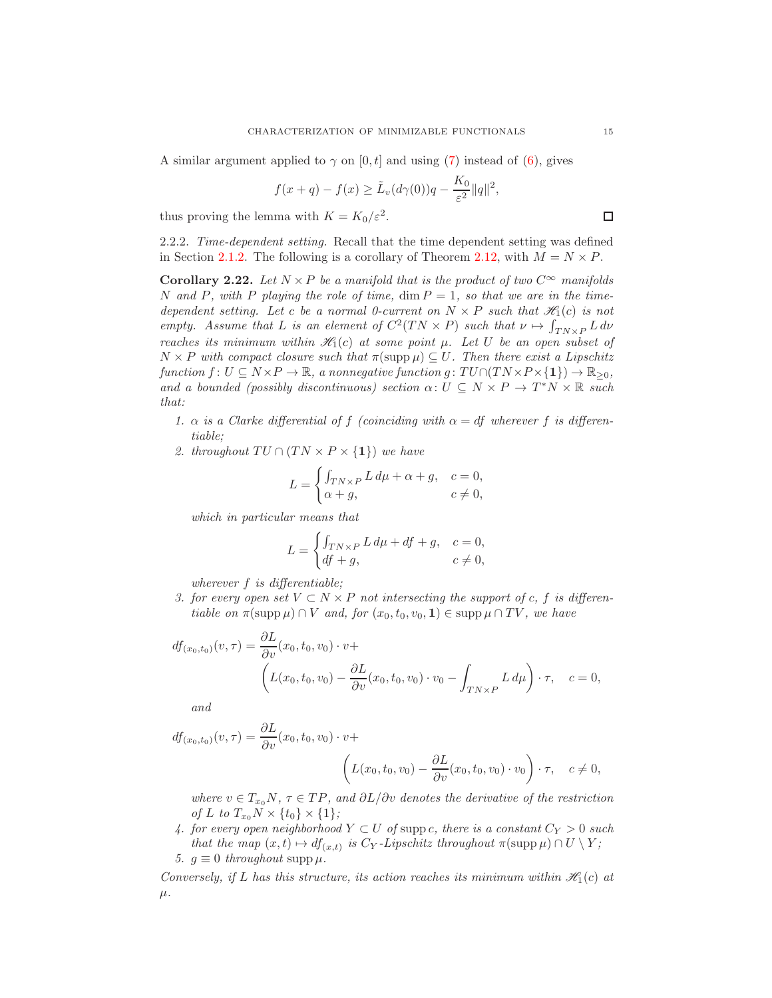A similar argument applied to  $\gamma$  on [0, t] and using [\(7\)](#page-11-1) instead of [\(6\)](#page-11-0), gives

$$
f(x+q) - f(x) \ge \tilde{L}_v(d\gamma(0))q - \frac{K_0}{\varepsilon^2} ||q||^2,
$$

thus proving the lemma with  $K = K_0 / \varepsilon^2$ .

2.2.2. Time-dependent setting. Recall that the time dependent setting was defined in Section [2.1.2.](#page-6-0) The following is a corollary of Theorem [2.12,](#page-7-0) with  $M = N \times P$ .

<span id="page-14-0"></span>**Corollary 2.22.** Let  $N \times P$  be a manifold that is the product of two  $C^{\infty}$  manifolds N and P, with P playing the role of time,  $\dim P = 1$ , so that we are in the timedependent setting. Let c be a normal 0-current on  $N \times P$  such that  $\mathcal{H}_1(c)$  is not empty. Assume that L is an element of  $C^2(TN \times P)$  such that  $\nu \mapsto \int_{T N \times P} L d\nu$ reaches its minimum within  $\mathcal{H}_1(c)$  at some point  $\mu$ . Let U be an open subset of  $N \times P$  with compact closure such that  $\pi(\text{supp }\mu) \subseteq U$ . Then there exist a Lipschitz function  $f: U \subseteq N \times P \to \mathbb{R}$ , a nonnegative function  $g: TU \cap (TN \times P \times \{1\}) \to \mathbb{R}_{\geq 0}$ , and a bounded (possibly discontinuous) section  $\alpha: U \subseteq N \times P \to T^*N \times \mathbb{R}$  such that:

- 1.  $\alpha$  is a Clarke differential of f (coinciding with  $\alpha = df$  wherever f is differentiable;
- 2. throughout  $TU \cap (TN \times P \times \{1\})$  we have

$$
L = \begin{cases} \int_{TN \times P} L d\mu + \alpha + g, & c = 0, \\ \alpha + g, & c \neq 0, \end{cases}
$$

which in particular means that

$$
L = \begin{cases} \int_{TN \times P} L d\mu + df + g, & c = 0, \\ df + g, & c \neq 0, \end{cases}
$$

wherever f is differentiable;

3. for every open set  $V \subset N \times P$  not intersecting the support of c, f is differentiable on  $\pi(\text{supp }\mu) \cap V$  and, for  $(x_0, t_0, v_0, 1) \in \text{supp }\mu \cap TV$ , we have

$$
df_{(x_0,t_0)}(v,\tau) = \frac{\partial L}{\partial v}(x_0,t_0,v_0) \cdot v +
$$

$$
\left( L(x_0,t_0,v_0) - \frac{\partial L}{\partial v}(x_0,t_0,v_0) \cdot v_0 - \int_{TN \times P} L d\mu \right) \cdot \tau, \quad c = 0,
$$

and

$$
df_{(x_0,t_0)}(v,\tau) = \frac{\partial L}{\partial v}(x_0,t_0,v_0) \cdot v + \left( L(x_0,t_0,v_0) - \frac{\partial L}{\partial v}(x_0,t_0,v_0) \cdot v_0 \right) \cdot \tau, \quad c \neq 0,
$$

where  $v \in T_{x_0}N$ ,  $\tau \in TP$ , and  $\partial L/\partial v$  denotes the derivative of the restriction of L to  $T_{x_0}N \times \{t_0\} \times \{1\};$ 

4. for every open neighborhood  $Y \subset U$  of suppc, there is a constant  $C_Y > 0$  such that the map  $(x,t) \mapsto df_{(x,t)}$  is  $C_Y$ -Lipschitz throughout  $\pi(\text{supp }\mu) \cap U \setminus Y$ ; 5.  $g \equiv 0$  throughout supp  $\mu$ .

Conversely, if L has this structure, its action reaches its minimum within  $\mathcal{H}_1(c)$  at  $\mu$ .

 $\Box$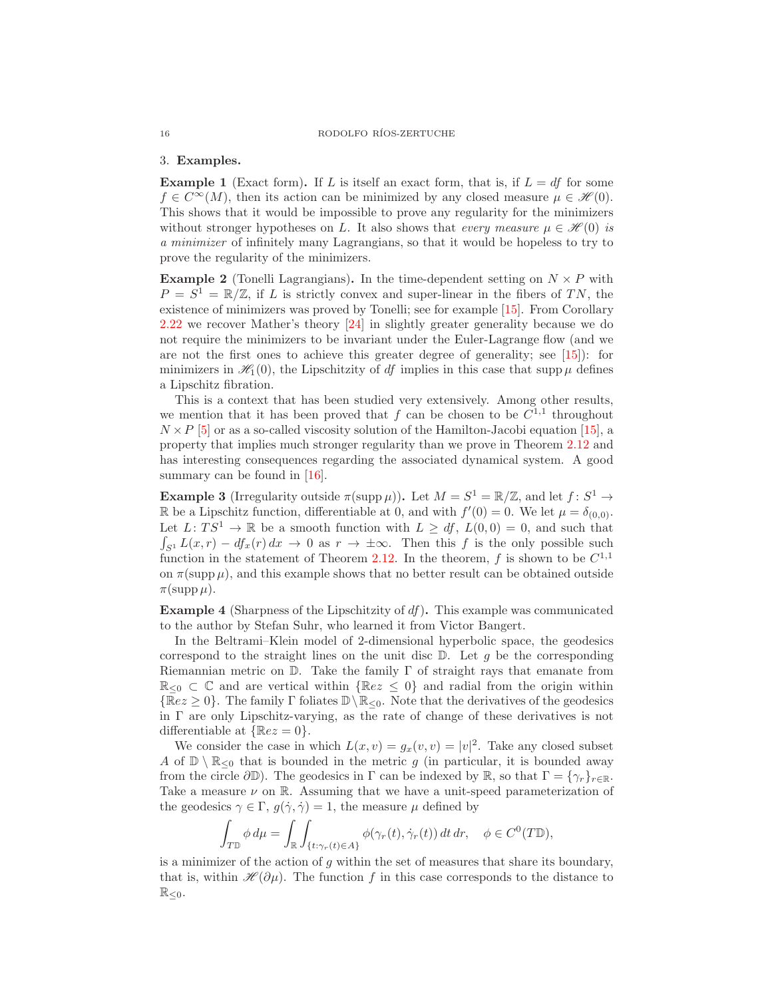### 3. Examples.

<span id="page-15-0"></span>**Example 1** (Exact form). If L is itself an exact form, that is, if  $L = df$  for some  $f \in C^{\infty}(M)$ , then its action can be minimized by any closed measure  $\mu \in \mathcal{H}(0)$ . This shows that it would be impossible to prove any regularity for the minimizers without stronger hypotheses on L. It also shows that every measure  $\mu \in \mathcal{H}(0)$  is a minimizer of infinitely many Lagrangians, so that it would be hopeless to try to prove the regularity of the minimizers.

<span id="page-15-4"></span>**Example 2** (Tonelli Lagrangians). In the time-dependent setting on  $N \times P$  with  $P = S^1 = \mathbb{R}/\mathbb{Z}$ , if L is strictly convex and super-linear in the fibers of TN, the existence of minimizers was proved by Tonelli; see for example [\[15\]](#page-24-1). From Corollary [2.22](#page-14-0) we recover Mather's theory [\[24\]](#page-24-0) in slightly greater generality because we do not require the minimizers to be invariant under the Euler-Lagrange flow (and we are not the first ones to achieve this greater degree of generality; see  $(15)$ : for minimizers in  $\mathcal{H}_1(0)$ , the Lipschitzity of df implies in this case that supp  $\mu$  defines a Lipschitz fibration.

This is a context that has been studied very extensively. Among other results, we mention that it has been proved that f can be chosen to be  $C^{1,1}$  throughout  $N \times P$  [\[5\]](#page-23-0) or as a so-called viscosity solution of the Hamilton-Jacobi equation [\[15\]](#page-24-1), a property that implies much stronger regularity than we prove in Theorem [2.12](#page-7-0) and has interesting consequences regarding the associated dynamical system. A good summary can be found in [\[16\]](#page-24-16).

<span id="page-15-2"></span>**Example 3** (Irregularity outside  $\pi(\text{supp }\mu)$ ). Let  $M = S^1 = \mathbb{R}/\mathbb{Z}$ , and let  $f: S^1 \to$ R be a Lipschitz function, differentiable at 0, and with  $f'(0) = 0$ . We let  $\mu = \delta_{(0,0)}$ . Let  $L: TS^1 \to \mathbb{R}$  be a smooth function with  $L \ge df$ ,  $L(0,0) = 0$ , and such that  $\int_{S^1} L(x,r) - df_x(r) dx \to 0$  as  $r \to \pm \infty$ . Then this f is the only possible such function in the statement of Theorem [2.12.](#page-7-0) In the theorem, f is shown to be  $C^{1,1}$ on  $\pi(\mathrm{supp}\,\mu)$ , and this example shows that no better result can be obtained outside  $\pi(\text{supp }\mu).$ 

<span id="page-15-3"></span>**Example 4** (Sharpness of the Lipschitzity of  $df$ ). This example was communicated to the author by Stefan Suhr, who learned it from Victor Bangert.

In the Beltrami–Klein model of 2-dimensional hyperbolic space, the geodesics correspond to the straight lines on the unit disc  $\mathbb{D}$ . Let g be the corresponding Riemannian metric on  $\mathbb{D}$ . Take the family  $\Gamma$  of straight rays that emanate from  $\mathbb{R}_{\leq 0} \subset \mathbb{C}$  and are vertical within  $\{\mathbb{R}e z \leq 0\}$  and radial from the origin within  $\{Re z \geq 0\}$ . The family  $\Gamma$  foliates  $\mathbb{D} \backslash \mathbb{R}_{\leq 0}$ . Note that the derivatives of the geodesics in  $\Gamma$  are only Lipschitz-varying, as the rate of change of these derivatives is not differentiable at  $\{Re z = 0\}$ .

We consider the case in which  $L(x, v) = g_x(v, v) = |v|^2$ . Take any closed subset A of  $\mathbb{D} \setminus \mathbb{R}_{\leq 0}$  that is bounded in the metric g (in particular, it is bounded away from the circle  $\partial \mathbb{D}$ ). The geodesics in  $\Gamma$  can be indexed by  $\mathbb{R}$ , so that  $\Gamma = \{\gamma_r\}_{r \in \mathbb{R}}$ . Take a measure  $\nu$  on R. Assuming that we have a unit-speed parameterization of the geodesics  $\gamma \in \Gamma$ ,  $g(\dot{\gamma}, \dot{\gamma}) = 1$ , the measure  $\mu$  defined by

$$
\int_{T\mathbb{D}} \phi \, d\mu = \int_{\mathbb{R}} \int_{\{t:\gamma_r(t)\in A\}} \phi(\gamma_r(t), \dot{\gamma}_r(t)) \, dt \, dr, \quad \phi \in C^0(T\mathbb{D}),
$$

is a minimizer of the action of  $q$  within the set of measures that share its boundary, that is, within  $\mathcal{H}(\partial\mu)$ . The function f in this case corresponds to the distance to  $\mathbb{R}_{\leq 0}$ .

<span id="page-15-1"></span>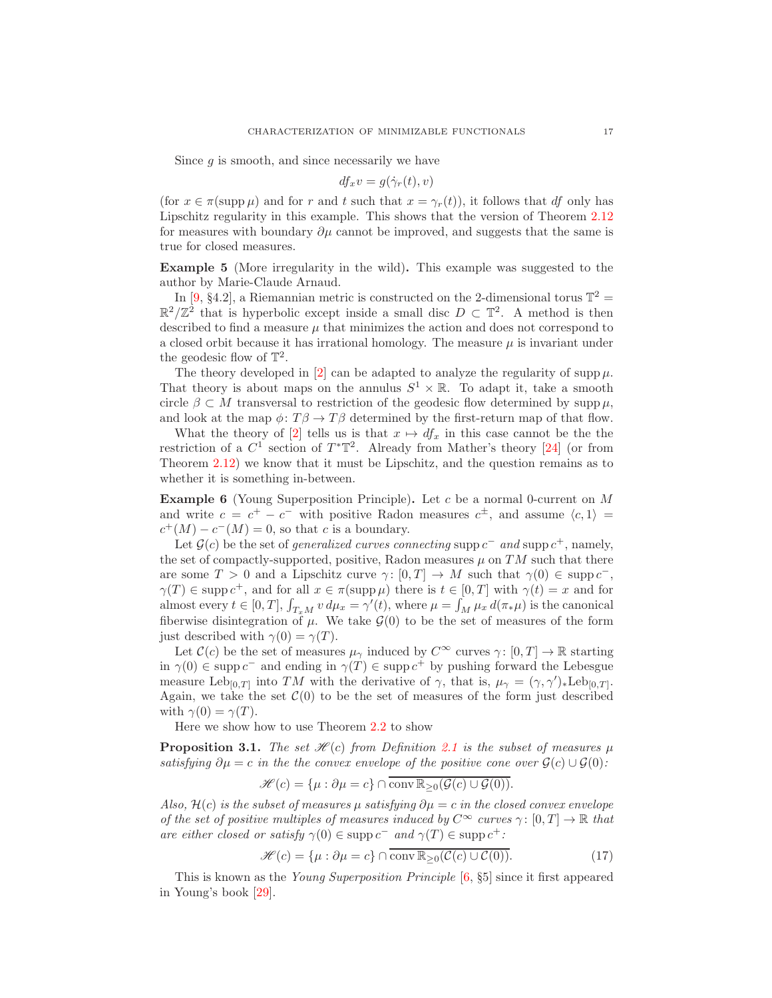Since  $g$  is smooth, and since necessarily we have

$$
df_x v = g(\dot{\gamma}_r(t), v)
$$

(for  $x \in \pi(\text{supp }\mu)$ ) and for r and t such that  $x = \gamma_r(t)$ ), it follows that df only has Lipschitz regularity in this example. This shows that the version of Theorem [2.12](#page-7-0) for measures with boundary  $\partial u$  cannot be improved, and suggests that the same is true for closed measures.

<span id="page-16-0"></span>Example 5 (More irregularity in the wild). This example was suggested to the author by Marie-Claude Arnaud.

In [\[9,](#page-24-17) §4.2], a Riemannian metric is constructed on the 2-dimensional torus  $\mathbb{T}^2 =$  $\mathbb{R}^2/\mathbb{Z}^2$  that is hyperbolic except inside a small disc  $D \subset \mathbb{T}^2$ . A method is then described to find a measure  $\mu$  that minimizes the action and does not correspond to a closed orbit because it has irrational homology. The measure  $\mu$  is invariant under the geodesic flow of  $\mathbb{T}^2$ .

The theory developed in [\[2\]](#page-23-5) can be adapted to analyze the regularity of supp  $\mu$ . That theory is about maps on the annulus  $S^1 \times \mathbb{R}$ . To adapt it, take a smooth circle  $\beta \subset M$  transversal to restriction of the geodesic flow determined by supp  $\mu$ , and look at the map  $\phi: T\beta \to T\beta$  determined by the first-return map of that flow.

What the theory of [\[2\]](#page-23-5) tells us is that  $x \mapsto df_x$  in this case cannot be the the restriction of a  $C^1$  section of  $T^*\mathbb{T}^2$ . Already from Mather's theory [\[24\]](#page-24-0) (or from Theorem [2.12\)](#page-7-0) we know that it must be Lipschitz, and the question remains as to whether it is something in-between.

<span id="page-16-1"></span>**Example 6** (Young Superposition Principle). Let c be a normal 0-current on  $M$ and write  $c = c^+ - c^-$  with positive Radon measures  $c^{\pm}$ , and assume  $\langle c, 1 \rangle =$  $c^+(M) - c^-(M) = 0$ , so that c is a boundary.

Let  $\mathcal{G}(c)$  be the set of *generalized curves connecting* supp  $c^-$  and supp  $c^+$ , namely, the set of compactly-supported, positive, Radon measures  $\mu$  on TM such that there are some  $T > 0$  and a Lipschitz curve  $\gamma : [0, T] \to M$  such that  $\gamma(0) \in \text{supp } c^{-}$ ,  $\gamma(T) \in \text{supp } c^+$ , and for all  $x \in \pi(\text{supp }\mu)$  there is  $t \in [0,T]$  with  $\gamma(t) = x$  and for almost every  $t \in [0, T]$ ,  $\int_{T_x M} v d\mu_x = \gamma'(t)$ , where  $\mu = \int_M \mu_x d(\pi_* \mu)$  is the canonical fiberwise disintegration of  $\mu$ . We take  $\mathcal{G}(0)$  to be the set of measures of the form just described with  $\gamma(0) = \gamma(T)$ .

Let  $\mathcal{C}(c)$  be the set of measures  $\mu_{\gamma}$  induced by  $C^{\infty}$  curves  $\gamma: [0, T] \to \mathbb{R}$  starting in  $\gamma(0) \in \text{supp } c^-$  and ending in  $\gamma(T) \in \text{supp } c^+$  by pushing forward the Lebesgue measure Leb<sub>[0,T]</sub> into TM with the derivative of  $\gamma$ , that is,  $\mu_{\gamma} = (\gamma, \gamma')_* \text{Leb}_{[0,T]}$ . Again, we take the set  $\mathcal{C}(0)$  to be the set of measures of the form just described with  $\gamma(0) = \gamma(T)$ .

Here we show how to use Theorem [2.2](#page-4-0) to show

**Proposition 3.1.** The set  $\mathcal{H}(c)$  from Definition [2.1](#page-4-1) is the subset of measures  $\mu$ satisfying  $\partial \mu = c$  in the the convex envelope of the positive cone over  $\mathcal{G}(c) \cup \mathcal{G}(0)$ :

$$
\mathscr{H}(c) = \{\mu : \partial \mu = c\} \cap \overline{\text{conv } \mathbb{R}_{\geq 0}(\mathcal{G}(c) \cup \mathcal{G}(0))}.
$$

Also,  $\mathcal{H}(c)$  is the subset of measures  $\mu$  satisfying  $\partial \mu = c$  in the closed convex envelope of the set of positive multiples of measures induced by  $C^{\infty}$  curves  $\gamma : [0, T] \to \mathbb{R}$  that are either closed or satisfy  $\gamma(0) \in \text{supp } c^-$  and  $\gamma(T) \in \text{supp } c^+$ :

<span id="page-16-2"></span>
$$
\mathcal{H}(c) = \{\mu : \partial \mu = c\} \cap \overline{\text{conv } \mathbb{R}_{\geq 0}(\mathcal{C}(c) \cup \mathcal{C}(0))}. \tag{17}
$$

This is known as the Young Superposition Principle [\[6,](#page-23-3) §5] since it first appeared in Young's book [\[29\]](#page-24-18).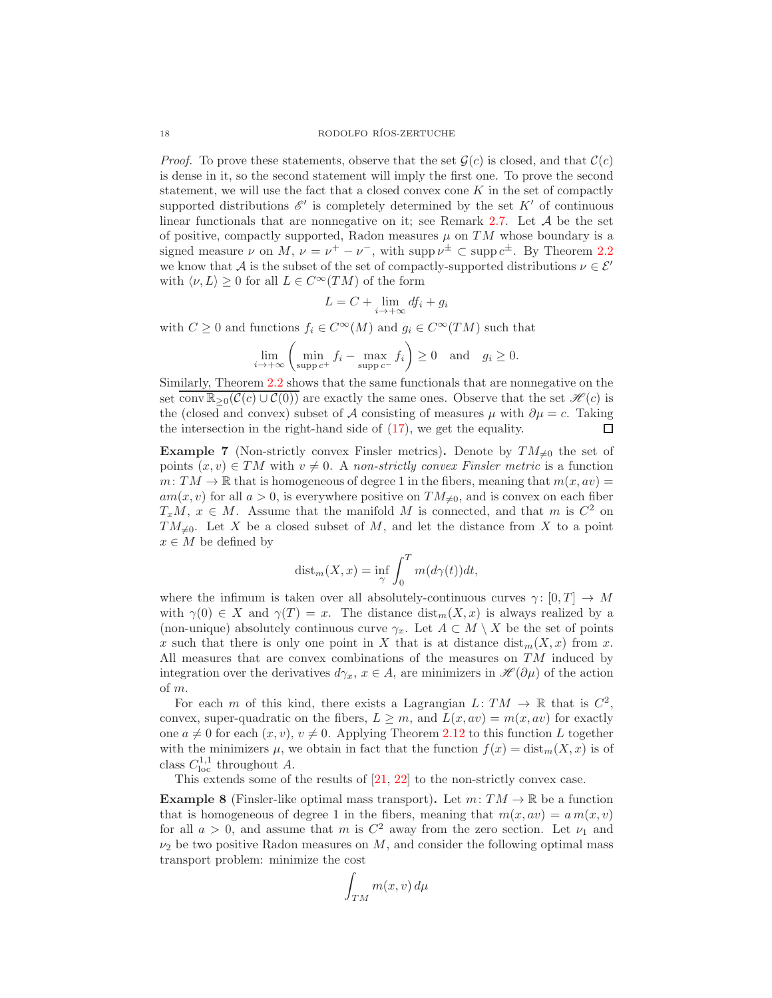*Proof.* To prove these statements, observe that the set  $\mathcal{G}(c)$  is closed, and that  $\mathcal{C}(c)$ is dense in it, so the second statement will imply the first one. To prove the second statement, we will use the fact that a closed convex cone  $K$  in the set of compactly supported distributions  $\mathscr{E}'$  is completely determined by the set  $K'$  of continuous linear functionals that are nonnegative on it; see Remark [2.7.](#page-5-2) Let A be the set of positive, compactly supported, Radon measures  $\mu$  on TM whose boundary is a signed measure  $\nu$  on  $M, \nu = \nu^{+} - \nu^{-}$ , with supp  $\nu^{\pm} \subset \text{supp } c^{\pm}$ . By Theorem [2.2](#page-4-0) we know that A is the subset of the set of compactly-supported distributions  $\nu \in \mathcal{E}'$ with  $\langle \nu, L \rangle \geq 0$  for all  $L \in C^{\infty}(TM)$  of the form

$$
L = C + \lim_{i \to +\infty} df_i + g_i
$$

with  $C \geq 0$  and functions  $f_i \in C^{\infty}(M)$  and  $g_i \in C^{\infty}(TM)$  such that

$$
\lim_{i \to +\infty} \left( \min_{\text{supp } c^+} f_i - \max_{\text{supp } c^-} f_i \right) \ge 0 \quad \text{and} \quad g_i \ge 0.
$$

Similarly, Theorem [2.2](#page-4-0) shows that the same functionals that are nonnegative on the set conv  $\mathbb{R}_{\geq 0}(\mathcal{C}(c) \cup \mathcal{C}(0))$  are exactly the same ones. Observe that the set  $\mathscr{H}(c)$  is the (closed and convex) subset of A consisting of measures  $\mu$  with  $\partial \mu = c$ . Taking the intersection in the right-hand side of [\(17\)](#page-16-2), we get the equality.  $\Box$ 

<span id="page-17-0"></span>**Example 7** (Non-strictly convex Finsler metrics). Denote by  $TM_{\neq 0}$  the set of points  $(x, v) \in TM$  with  $v \neq 0$ . A non-strictly convex Finsler metric is a function  $m: TM \to \mathbb{R}$  that is homogeneous of degree 1 in the fibers, meaning that  $m(x, av)$  $am(x, v)$  for all  $a > 0$ , is everywhere positive on  $TM_{\neq 0}$ , and is convex on each fiber  $T_xM, x \in M$ . Assume that the manifold M is connected, and that m is  $C^2$  on  $TM_{\neq 0}$ . Let X be a closed subset of M, and let the distance from X to a point  $x \in M$  be defined by

$$
\text{dist}_{m}(X,x) = \inf_{\gamma} \int_{0}^{T} m(d\gamma(t))dt,
$$

where the infimum is taken over all absolutely-continuous curves  $\gamma: [0, T] \to M$ with  $\gamma(0) \in X$  and  $\gamma(T) = x$ . The distance  $\text{dist}_{m}(X, x)$  is always realized by a (non-unique) absolutely continuous curve  $\gamma_x$ . Let  $A \subset M \setminus X$  be the set of points x such that there is only one point in X that is at distance  $dist_m(X, x)$  from x. All measures that are convex combinations of the measures on  $TM$  induced by integration over the derivatives  $d\gamma_x$ ,  $x \in A$ , are minimizers in  $\mathscr{H}(\partial \mu)$  of the action of m.

For each m of this kind, there exists a Lagrangian  $L: TM \to \mathbb{R}$  that is  $C^2$ , convex, super-quadratic on the fibers,  $L \geq m$ , and  $L(x, av) = m(x, av)$  for exactly one  $a \neq 0$  for each  $(x, v), v \neq 0$ . Applying Theorem [2.12](#page-7-0) to this function L together with the minimizers  $\mu$ , we obtain in fact that the function  $f(x) = \text{dist}_{m}(X, x)$  is of class  $C_{\text{loc}}^{1,1}$  throughout A.

This extends some of the results of [\[21,](#page-24-19) [22\]](#page-24-20) to the non-strictly convex case.

<span id="page-17-1"></span>**Example 8** (Finsler-like optimal mass transport). Let  $m: TM \to \mathbb{R}$  be a function that is homogeneous of degree 1 in the fibers, meaning that  $m(x, av) = a m(x, v)$ for all  $a > 0$ , and assume that m is  $C^2$  away from the zero section. Let  $\nu_1$  and  $\nu_2$  be two positive Radon measures on M, and consider the following optimal mass transport problem: minimize the cost

$$
\int_{TM} m(x,v) \, d\mu
$$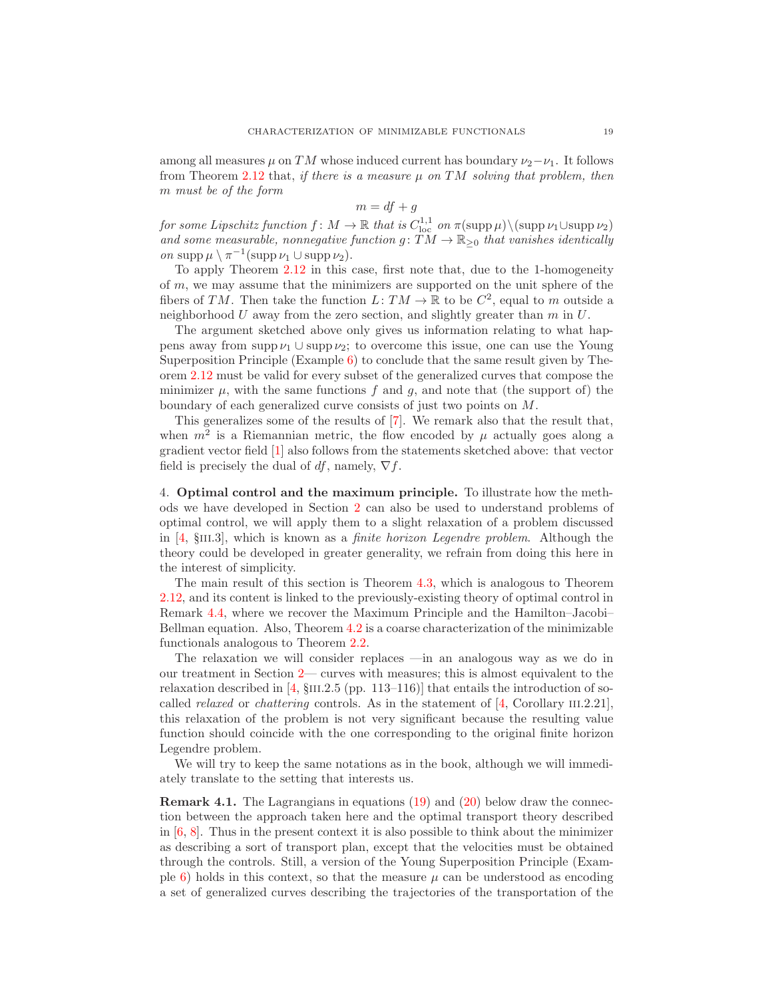among all measures  $\mu$  on TM whose induced current has boundary  $\nu_2-\nu_1$ . It follows from Theorem [2.12](#page-7-0) that, if there is a measure  $\mu$  on TM solving that problem, then m must be of the form

$$
m = df + g
$$

for some Lipschitz function  $f: M \to \mathbb{R}$  that is  $C^{1,1}_{loc}$  on  $\pi(\mathrm{supp}\,\mu)\setminus(\mathrm{supp}\,\nu_1\cup\mathrm{supp}\,\nu_2)$ and some measurable, nonnegative function  $g: TM \to \mathbb{R}_{\geq 0}$  that vanishes identically on supp  $\mu \setminus \pi^{-1}(\text{supp }\nu_1 \cup \text{supp }\nu_2).$ 

To apply Theorem [2.12](#page-7-0) in this case, first note that, due to the 1-homogeneity of m, we may assume that the minimizers are supported on the unit sphere of the fibers of TM. Then take the function  $L: TM \to \mathbb{R}$  to be  $C^2$ , equal to m outside a neighborhood  $U$  away from the zero section, and slightly greater than  $m$  in  $U$ .

The argument sketched above only gives us information relating to what happens away from supp  $\nu_1 \cup$  supp  $\nu_2$ ; to overcome this issue, one can use the Young Superposition Principle (Example [6\)](#page-16-1) to conclude that the same result given by Theorem [2.12](#page-7-0) must be valid for every subset of the generalized curves that compose the minimizer  $\mu$ , with the same functions f and g, and note that (the support of) the boundary of each generalized curve consists of just two points on M.

This generalizes some of the results of [\[7\]](#page-23-2). We remark also that the result that, when  $m^2$  is a Riemannian metric, the flow encoded by  $\mu$  actually goes along a gradient vector field [\[1\]](#page-23-1) also follows from the statements sketched above: that vector field is precisely the dual of df, namely,  $\nabla f$ .

<span id="page-18-0"></span>4. Optimal control and the maximum principle. To illustrate how the methods we have developed in Section [2](#page-3-1) can also be used to understand problems of optimal control, we will apply them to a slight relaxation of a problem discussed in  $[4, \text{SIII.3}]$ , which is known as a *finite horizon Legendre problem*. Although the theory could be developed in greater generality, we refrain from doing this here in the interest of simplicity.

The main result of this section is Theorem [4.3,](#page-20-0) which is analogous to Theorem [2.12,](#page-7-0) and its content is linked to the previously-existing theory of optimal control in Remark [4.4,](#page-22-0) where we recover the Maximum Principle and the Hamilton–Jacobi– Bellman equation. Also, Theorem [4.2](#page-19-0) is a coarse characterization of the minimizable functionals analogous to Theorem [2.2.](#page-4-0)

The relaxation we will consider replaces —in an analogous way as we do in our treatment in Section [2—](#page-3-1) curves with measures; this is almost equivalent to the relaxation described in  $[4, \S$ III.2.5 (pp. 113–116)] that entails the introduction of socalled *relaxed* or *chattering* controls. As in the statement of  $[4,$  Corollary III.2.21], this relaxation of the problem is not very significant because the resulting value function should coincide with the one corresponding to the original finite horizon Legendre problem.

We will try to keep the same notations as in the book, although we will immediately translate to the setting that interests us.

Remark 4.1. The Lagrangians in equations [\(19\)](#page-20-1) and [\(20\)](#page-20-2) below draw the connection between the approach taken here and the optimal transport theory described in  $[6, 8]$  $[6, 8]$ . Thus in the present context it is also possible to think about the minimizer as describing a sort of transport plan, except that the velocities must be obtained through the controls. Still, a version of the Young Superposition Principle (Exam-ple [6\)](#page-16-1) holds in this context, so that the measure  $\mu$  can be understood as encoding a set of generalized curves describing the trajectories of the transportation of the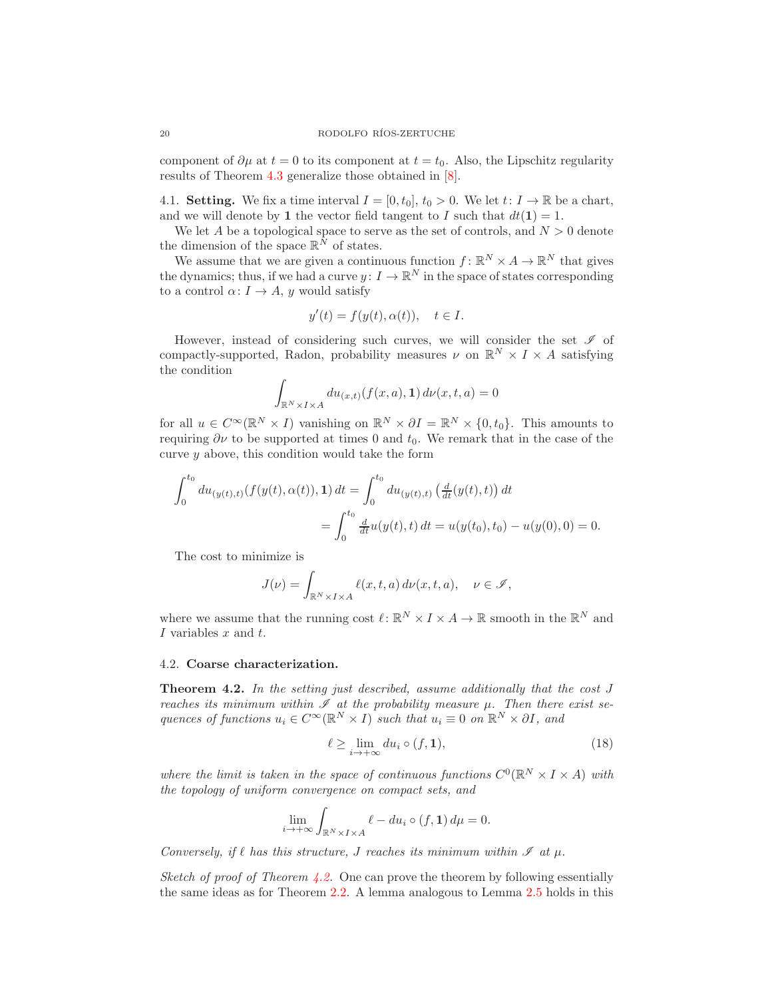component of  $\partial \mu$  at  $t = 0$  to its component at  $t = t_0$ . Also, the Lipschitz regularity results of Theorem [4.3](#page-20-0) generalize those obtained in [\[8\]](#page-24-11).

4.1. **Setting.** We fix a time interval  $I = [0, t_0], t_0 > 0$ . We let  $t: I \to \mathbb{R}$  be a chart, and we will denote by 1 the vector field tangent to I such that  $dt(1) = 1$ .

We let A be a topological space to serve as the set of controls, and  $N > 0$  denote the dimension of the space  $\mathbb{R}^N$  of states.

We assume that we are given a continuous function  $f: \mathbb{R}^N \times A \to \mathbb{R}^N$  that gives the dynamics; thus, if we had a curve  $y: I \to \mathbb{R}^N$  in the space of states corresponding to a control  $\alpha: I \to A$ , y would satisfy

$$
y'(t) = f(y(t), \alpha(t)), \quad t \in I.
$$

However, instead of considering such curves, we will consider the set  $\mathscr I$  of compactly-supported, Radon, probability measures  $\nu$  on  $\mathbb{R}^N \times I \times A$  satisfying the condition

$$
\int_{\mathbb{R}^N \times I \times A} du_{(x,t)}(f(x,a), \mathbf{1}) d\nu(x,t,a) = 0
$$

for all  $u \in C^{\infty}(\mathbb{R}^N \times I)$  vanishing on  $\mathbb{R}^N \times \partial I = \mathbb{R}^N \times \{0, t_0\}$ . This amounts to requiring  $\partial \nu$  to be supported at times 0 and  $t_0$ . We remark that in the case of the curve  $\gamma$  above, this condition would take the form

$$
\int_0^{t_0} du_{(y(t),t)}(f(y(t),\alpha(t)),\mathbf{1}) dt = \int_0^{t_0} du_{(y(t),t)}\left(\frac{d}{dt}(y(t),t)\right) dt
$$
  
= 
$$
\int_0^{t_0} \frac{d}{dt} u(y(t),t) dt = u(y(t_0),t_0) - u(y(0),0) = 0.
$$

The cost to minimize is

$$
J(\nu) = \int_{\mathbb{R}^N \times I \times A} \ell(x, t, a) d\nu(x, t, a), \quad \nu \in \mathcal{I},
$$

where we assume that the running cost  $\ell \colon \mathbb{R}^N \times I \times A \to \mathbb{R}$  smooth in the  $\mathbb{R}^N$  and I variables x and t.

### 4.2. Coarse characterization.

<span id="page-19-0"></span>**Theorem 4.2.** In the setting just described, assume additionally that the cost  $J$ reaches its minimum within  $\mathscr I$  at the probability measure  $\mu$ . Then there exist sequences of functions  $u_i \in C^{\infty}(\mathbb{R}^N \times I)$  such that  $u_i \equiv 0$  on  $\mathbb{R}^N \times \partial I$ , and

<span id="page-19-1"></span>
$$
\ell \ge \lim_{i \to +\infty} du_i \circ (f, \mathbf{1}),\tag{18}
$$

where the limit is taken in the space of continuous functions  $C^0(\mathbb{R}^N \times I \times A)$  with the topology of uniform convergence on compact sets, and

$$
\lim_{i \to +\infty} \int_{\mathbb{R}^N \times I \times A} \ell - du_i \circ (f, \mathbf{1}) d\mu = 0.
$$

Conversely, if  $\ell$  has this structure, J reaches its minimum within  $\mathscr I$  at  $\mu$ .

Sketch of proof of Theorem [4.2.](#page-19-0) One can prove the theorem by following essentially the same ideas as for Theorem [2.2.](#page-4-0) A lemma analogous to Lemma [2.5](#page-5-1) holds in this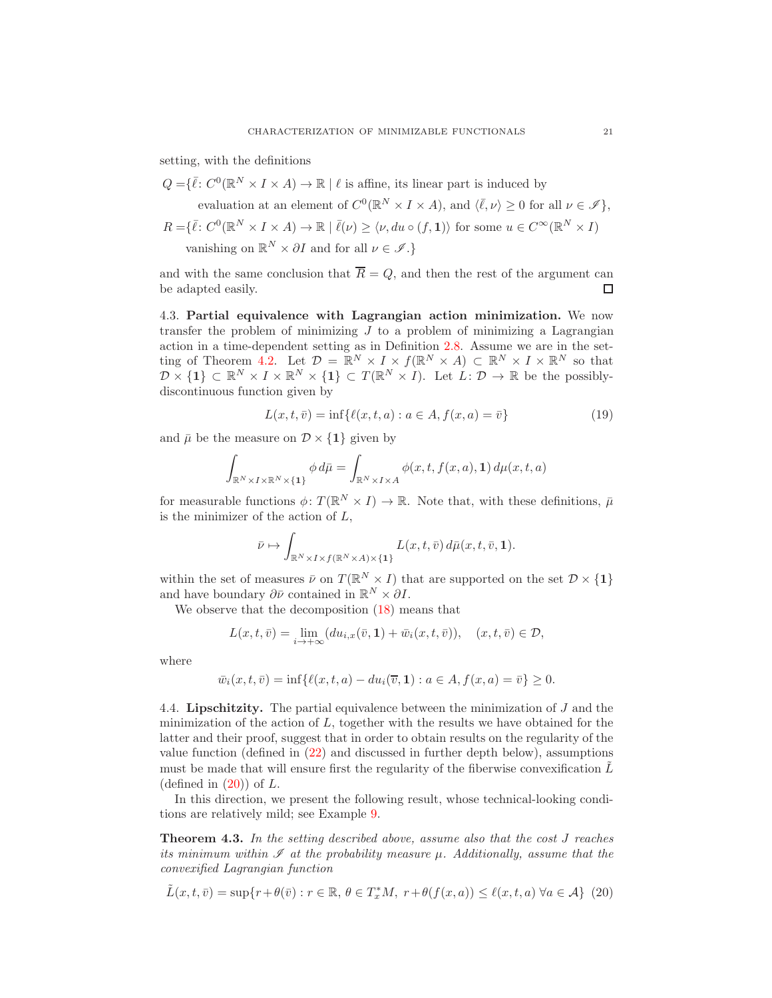setting, with the definitions

$$
Q = \{ \bar{\ell} \colon C^0(\mathbb{R}^N \times I \times A) \to \mathbb{R} \mid \ell \text{ is affine, its linear part is induced by}
$$
  
evaluation at an element of  $C^0(\mathbb{R}^N \times I \times A)$ , and  $\langle \bar{\ell}, \nu \rangle \ge 0$  for all  $\nu \in \mathcal{I} \},$   
 $R = \{ \bar{\ell} \colon C^0(\mathbb{R}^N \times I \times A) \to \mathbb{R} \mid \bar{\ell}(\nu) \ge \langle \nu, du \circ (f, \mathbf{1}) \rangle \text{ for some } u \in C^{\infty}(\mathbb{R}^N \times I)$   
vanishing on  $\mathbb{R}^N \times \partial I$  and for all  $\nu \in \mathcal{I} \}.$ 

and with the same conclusion that  $\overline{R} = Q$ , and then the rest of the argument can be adapted easily.  $\Box$ 

4.3. Partial equivalence with Lagrangian action minimization. We now transfer the problem of minimizing  $J$  to a problem of minimizing a Lagrangian action in a time-dependent setting as in Definition [2.8.](#page-6-1) Assume we are in the set-ting of Theorem [4.2.](#page-19-0) Let  $\mathcal{D} = \mathbb{R}^N \times I \times f(\mathbb{R}^N \times A) \subset \mathbb{R}^N \times I \times \mathbb{R}^N$  so that  $\mathcal{D} \times \{1\} \subset \mathbb{R}^N \times I \times \mathbb{R}^N \times \{1\} \subset T(\mathbb{R}^N \times I)$ . Let  $\hat{L}: \mathcal{D} \to \mathbb{R}$  be the possiblydiscontinuous function given by

<span id="page-20-1"></span>
$$
L(x, t, \bar{v}) = \inf \{ \ell(x, t, a) : a \in A, f(x, a) = \bar{v} \}
$$
(19)

and  $\bar{\mu}$  be the measure on  $\mathcal{D} \times \{1\}$  given by

$$
\int_{\mathbb{R}^N \times I \times \mathbb{R}^N \times \{1\}} \phi \, d\bar{\mu} = \int_{\mathbb{R}^N \times I \times A} \phi(x, t, f(x, a), \mathbf{1}) \, d\mu(x, t, a)
$$

for measurable functions  $\phi \colon T(\mathbb{R}^N \times I) \to \mathbb{R}$ . Note that, with these definitions,  $\bar{\mu}$ is the minimizer of the action of  $L$ ,

$$
\bar{\nu} \mapsto \int_{\mathbb{R}^N \times I \times f(\mathbb{R}^N \times A) \times \{1\}} L(x, t, \bar{v}) d\bar{\mu}(x, t, \bar{v}, 1).
$$

within the set of measures  $\bar{\nu}$  on  $T(\mathbb{R}^N \times I)$  that are supported on the set  $\mathcal{D} \times \{1\}$ and have boundary  $\partial \bar{\nu}$  contained in  $\mathbb{R}^N \times \partial I$ .

We observe that the decomposition [\(18\)](#page-19-1) means that

$$
L(x,t,\bar{v}) = \lim_{i \to +\infty} (du_{i,x}(\bar{v},1) + \bar{w}_i(x,t,\bar{v})), \quad (x,t,\bar{v}) \in \mathcal{D},
$$

where

$$
\bar{w}_i(x, t, \bar{v}) = \inf \{ \ell(x, t, a) - du_i(\overline{v}, 1) : a \in A, f(x, a) = \bar{v} \} \ge 0.
$$

4.4. Lipschitzity. The partial equivalence between the minimization of J and the minimization of the action of  $L$ , together with the results we have obtained for the latter and their proof, suggest that in order to obtain results on the regularity of the value function (defined in [\(22\)](#page-22-1) and discussed in further depth below), assumptions must be made that will ensure first the regularity of the fiberwise convexification  $\tilde{L}$ (defined in  $(20)$ ) of L.

In this direction, we present the following result, whose technical-looking conditions are relatively mild; see Example [9.](#page-21-0)

<span id="page-20-0"></span>Theorem 4.3. In the setting described above, assume also that the cost J reaches its minimum within  $\mathscr I$  at the probability measure  $\mu$ . Additionally, assume that the convexified Lagrangian function

<span id="page-20-2"></span>
$$
\tilde{L}(x,t,\bar{v}) = \sup\{r + \theta(\bar{v}) : r \in \mathbb{R}, \theta \in T_x^*M, \ r + \theta(f(x,a)) \le \ell(x,t,a) \ \forall a \in \mathcal{A}\} \tag{20}
$$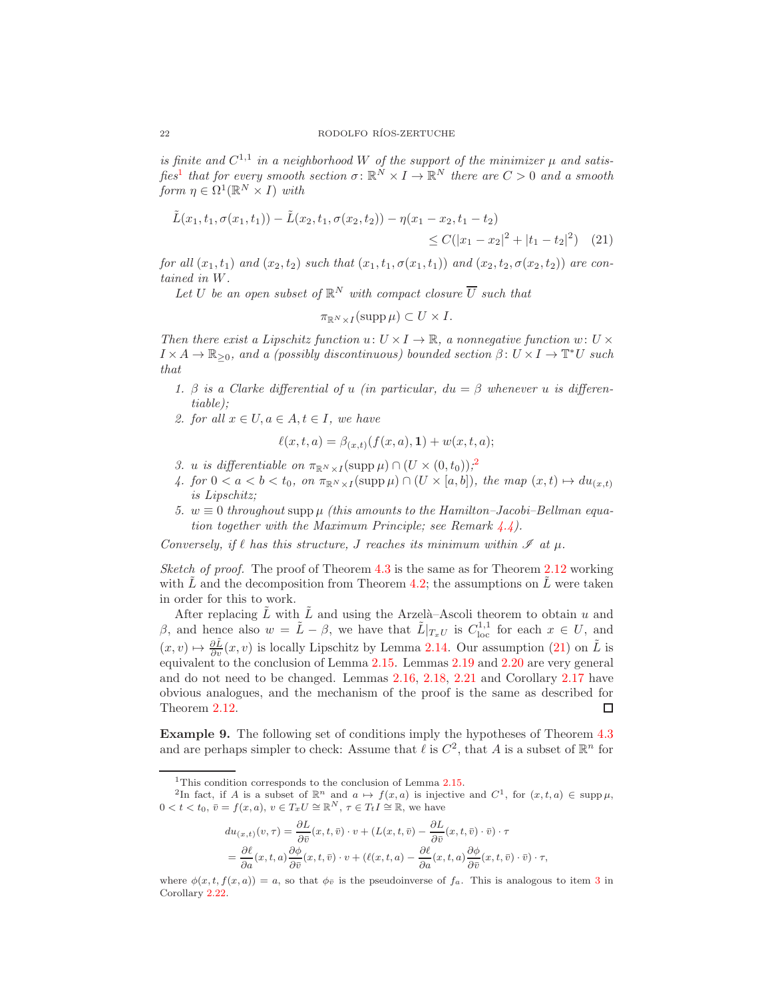is finite and  $C^{1,1}$  in a neighborhood W of the support of the minimizer  $\mu$  and satis-fies<sup>[1](#page-21-1)</sup> that for every smooth section  $\sigma \colon \mathbb{R}^N \times I \to \mathbb{R}^N$  there are  $C > 0$  and a smooth form  $\eta \in \Omega^1(\mathbb{R}^N \times I)$  with

$$
\tilde{L}(x_1, t_1, \sigma(x_1, t_1)) - \tilde{L}(x_2, t_1, \sigma(x_2, t_2)) - \eta(x_1 - x_2, t_1 - t_2) \leq C(|x_1 - x_2|^2 + |t_1 - t_2|^2) \tag{21}
$$

for all  $(x_1, t_1)$  and  $(x_2, t_2)$  such that  $(x_1, t_1, \sigma(x_1, t_1))$  and  $(x_2, t_2, \sigma(x_2, t_2))$  are contained in W.

Let U be an open subset of  $\mathbb{R}^N$  with compact closure  $\overline{U}$  such that

<span id="page-21-3"></span>
$$
\pi_{\mathbb{R}^N \times I}(\operatorname{supp} \mu) \subset U \times I.
$$

Then there exist a Lipschitz function  $u: U \times I \to \mathbb{R}$ , a nonnegative function  $w: U \times$  $I \times A \to \mathbb{R}_{\geq 0}$ , and a (possibly discontinuous) bounded section  $\beta: U \times I \to \mathbb{T}^*U$  such that

- 1. β is a Clarke differential of u (in particular,  $du = \beta$  whenever u is differentiable);
- 2. for all  $x \in U, a \in A, t \in I$ , we have

$$
\ell(x, t, a) = \beta_{(x,t)}(f(x, a), \mathbf{1}) + w(x, t, a);
$$

- 3. u is differentiable on  $\pi_{\mathbb{R}^N \times I}(\text{supp }\mu) \cap (U \times (0,t_0))$ ,<sup>[2](#page-21-2)</sup>
- 4. for  $0 < a < b < t_0$ , on  $\pi_{\mathbb{R}^N \times I}(\text{supp }\mu) \cap (U \times [a, b])$ , the map  $(x, t) \mapsto du_{(x, t)}$ is Lipschitz;
- <span id="page-21-4"></span>5.  $w \equiv 0$  throughout supp  $\mu$  (this amounts to the Hamilton–Jacobi–Bellman equation together with the Maximum Principle; see Remark [4.4\)](#page-22-0).

Conversely, if  $\ell$  has this structure, J reaches its minimum within  $\mathscr I$  at  $\mu$ .

Sketch of proof. The proof of Theorem  $4.3$  is the same as for Theorem  $2.12$  working with  $\tilde{L}$  and the decomposition from Theorem [4.2;](#page-19-0) the assumptions on  $\tilde{L}$  were taken in order for this to work.

After replacing  $\tilde{L}$  with  $\tilde{L}$  and using the Arzelà–Ascoli theorem to obtain u and β, and hence also  $w = \tilde{L} - \beta$ , we have that  $\tilde{L}|_{T_xU}$  is  $C_{loc}^{1,1}$  for each  $x \in U$ , and  $(x, v) \mapsto \frac{\partial \tilde{L}}{\partial v}(x, v)$  is locally Lipschitz by Lemma [2.14.](#page-9-0) Our assumption [\(21\)](#page-21-3) on  $\tilde{L}$  is equivalent to the conclusion of Lemma [2.15.](#page-10-1) Lemmas [2.19](#page-12-1) and [2.20](#page-12-2) are very general and do not need to be changed. Lemmas [2.16,](#page-10-0) [2.18,](#page-11-4) [2.21](#page-12-0) and Corollary [2.17](#page-11-5) have obvious analogues, and the mechanism of the proof is the same as described for Theorem [2.12.](#page-7-0) □

<span id="page-21-0"></span>Example 9. The following set of conditions imply the hypotheses of Theorem [4.3](#page-20-0) and are perhaps simpler to check: Assume that  $\ell$  is  $C^2$ , that A is a subset of  $\mathbb{R}^n$  for

$$
du_{(x,t)}(v,\tau) = \frac{\partial L}{\partial \bar{v}}(x,t,\bar{v}) \cdot v + (L(x,t,\bar{v}) - \frac{\partial L}{\partial \bar{v}}(x,t,\bar{v}) \cdot \bar{v}) \cdot \tau
$$
  
=  $\frac{\partial \ell}{\partial a}(x,t,a) \frac{\partial \phi}{\partial \bar{v}}(x,t,\bar{v}) \cdot v + (\ell(x,t,a) - \frac{\partial \ell}{\partial a}(x,t,a) \frac{\partial \phi}{\partial \bar{v}}(x,t,\bar{v}) \cdot \bar{v}) \cdot \tau,$ 

<span id="page-21-2"></span><span id="page-21-1"></span><sup>&</sup>lt;sup>1</sup>This condition corresponds to the conclusion of Lemma [2.15.](#page-10-1)

<sup>&</sup>lt;sup>2</sup>In fact, if A is a subset of  $\mathbb{R}^n$  and  $a \mapsto f(x, a)$  is injective and  $C^1$ , for  $(x, t, a) \in \text{supp }\mu$ ,  $0 < t < t_0, \, \bar{v} = f(x, a), \, v \in T_x U \cong \mathbb{R}^N, \, \tau \in T_t I \cong \mathbb{R}$ , we have

where  $\phi(x, t, f(x, a)) = a$ , so that  $\phi_{\bar{v}}$  is the pseudoinverse of  $f_a$ . This is analogous to item [3](#page-8-0) in Corollary [2.22.](#page-14-0)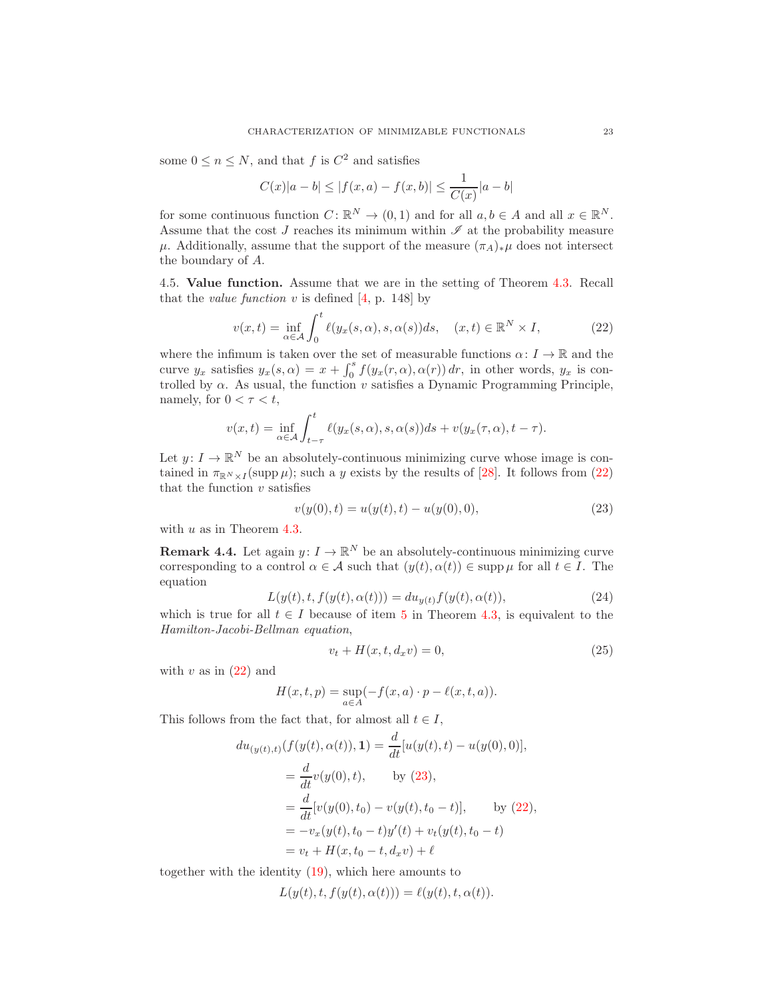some  $0 \le n \le N$ , and that f is  $C^2$  and satisfies

$$
C(x)|a - b| \le |f(x, a) - f(x, b)| \le \frac{1}{C(x)}|a - b|
$$

for some continuous function  $C: \mathbb{R}^N \to (0,1)$  and for all  $a, b \in A$  and all  $x \in \mathbb{R}^N$ . Assume that the cost J reaches its minimum within  $\mathscr I$  at the probability measure  $\mu$ . Additionally, assume that the support of the measure  $(\pi_A)_*\mu$  does not intersect the boundary of A.

4.5. Value function. Assume that we are in the setting of Theorem [4.3.](#page-20-0) Recall that the *value function* v is defined  $[4, p. 148]$  by

<span id="page-22-1"></span>
$$
v(x,t) = \inf_{\alpha \in \mathcal{A}} \int_0^t \ell(y_x(s,\alpha), s, \alpha(s))ds, \quad (x,t) \in \mathbb{R}^N \times I,
$$
 (22)

where the infimum is taken over the set of measurable functions  $\alpha: I \to \mathbb{R}$  and the curve  $y_x$  satisfies  $y_x(s, \alpha) = x + \int_0^s f(y_x(r, \alpha), \alpha(r)) dr$ , in other words,  $y_x$  is controlled by  $\alpha$ . As usual, the function v satisfies a Dynamic Programming Principle, namely, for  $0 < \tau < t$ ,

$$
v(x,t) = \inf_{\alpha \in \mathcal{A}} \int_{t-\tau}^{t} \ell(y_x(s,\alpha), s, \alpha(s))ds + v(y_x(\tau, \alpha), t - \tau).
$$

Let  $y: I \to \mathbb{R}^N$  be an absolutely-continuous minimizing curve whose image is contained in  $\pi_{\mathbb{R}^N\times I}(\text{supp }\mu)$ ; such a y exists by the results of [\[28\]](#page-24-15). It follows from [\(22\)](#page-22-1) that the function  $v$  satisfies

<span id="page-22-2"></span>
$$
v(y(0),t) = u(y(t),t) - u(y(0),0),
$$
\n(23)

with  $u$  as in Theorem [4.3.](#page-20-0)

<span id="page-22-0"></span>**Remark 4.4.** Let again  $y: I \to \mathbb{R}^N$  be an absolutely-continuous minimizing curve corresponding to a control  $\alpha \in \mathcal{A}$  such that  $(y(t), \alpha(t)) \in \text{supp }\mu$  for all  $t \in I$ . The equation

$$
L(y(t), t, f(y(t), \alpha(t))) = du_{y(t)} f(y(t), \alpha(t)),
$$
\n(24)

which is true for all  $t \in I$  because of item [5](#page-21-4) in Theorem [4.3,](#page-20-0) is equivalent to the Hamilton-Jacobi-Bellman equation,

<span id="page-22-3"></span>
$$
v_t + H(x, t, d_x v) = 0,\t\t(25)
$$

with  $v$  as in  $(22)$  and

$$
H(x,t,p) = \sup_{a \in A} (-f(x,a) \cdot p - \ell(x,t,a)).
$$

This follows from the fact that, for almost all  $t \in I$ ,

$$
du_{(y(t),t)}(f(y(t), \alpha(t)), 1) = \frac{d}{dt}[u(y(t), t) - u(y(0), 0)],
$$
  
\n
$$
= \frac{d}{dt}v(y(0), t), \qquad \text{by (23)},
$$
  
\n
$$
= \frac{d}{dt}[v(y(0), t_0) - v(y(t), t_0 - t)], \qquad \text{by (22)},
$$
  
\n
$$
= -v_x(y(t), t_0 - t)y'(t) + v_t(y(t), t_0 - t)
$$
  
\n
$$
= v_t + H(x, t_0 - t, d_x v) + \ell
$$

together with the identity [\(19\)](#page-20-1), which here amounts to

$$
L(y(t), t, f(y(t), \alpha(t))) = \ell(y(t), t, \alpha(t)).
$$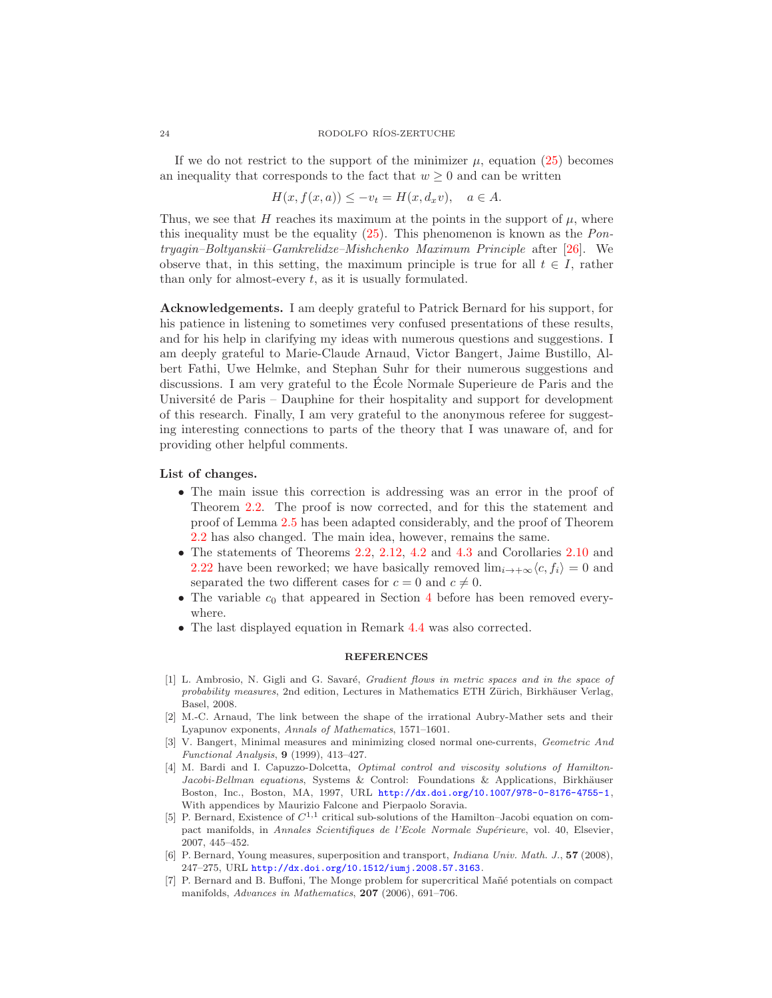If we do not restrict to the support of the minimizer  $\mu$ , equation [\(25\)](#page-22-3) becomes an inequality that corresponds to the fact that  $w \geq 0$  and can be written

$$
H(x, f(x, a)) \le -v_t = H(x, d_x v), \quad a \in A.
$$

Thus, we see that H reaches its maximum at the points in the support of  $\mu$ , where this inequality must be the equality  $(25)$ . This phenomenon is known as the *Pon*tryagin–Boltyanskii–Gamkrelidze–Mishchenko Maximum Principle after [\[26\]](#page-24-21). We observe that, in this setting, the maximum principle is true for all  $t \in I$ , rather than only for almost-every t, as it is usually formulated.

Acknowledgements. I am deeply grateful to Patrick Bernard for his support, for his patience in listening to sometimes very confused presentations of these results, and for his help in clarifying my ideas with numerous questions and suggestions. I am deeply grateful to Marie-Claude Arnaud, Victor Bangert, Jaime Bustillo, Albert Fathi, Uwe Helmke, and Stephan Suhr for their numerous suggestions and discussions. I am very grateful to the Ecole Normale Superieure de Paris and the ´ Université de Paris – Dauphine for their hospitality and support for development of this research. Finally, I am very grateful to the anonymous referee for suggesting interesting connections to parts of the theory that I was unaware of, and for providing other helpful comments.

# List of changes.

- The main issue this correction is addressing was an error in the proof of Theorem [2.2.](#page-4-0) The proof is now corrected, and for this the statement and proof of Lemma [2.5](#page-5-1) has been adapted considerably, and the proof of Theorem [2.2](#page-4-0) has also changed. The main idea, however, remains the same.
- The statements of Theorems [2.2,](#page-4-0) [2.12,](#page-7-0) [4.2](#page-19-0) and [4.3](#page-20-0) and Corollaries [2.10](#page-7-1) and [2.22](#page-14-0) have been reworked; we have basically removed  $\lim_{i\to+\infty}\langle c, f_i\rangle = 0$  and separated the two different cases for  $c = 0$  and  $c \neq 0$ .
- The variable  $c_0$  that appeared in Section [4](#page-18-0) before has been removed everywhere.
- The last displayed equation in Remark [4.4](#page-22-0) was also corrected.

# REFERENCES

- <span id="page-23-1"></span>[1] L. Ambrosio, N. Gigli and G. Savaré, *Gradient flows in metric spaces and in the space of* probability measures, 2nd edition, Lectures in Mathematics ETH Zürich, Birkhäuser Verlag, Basel, 2008.
- <span id="page-23-5"></span>[2] M.-C. Arnaud, The link between the shape of the irrational Aubry-Mather sets and their Lyapunov exponents, Annals of Mathematics, 1571–1601.
- <span id="page-23-4"></span>[3] V. Bangert, Minimal measures and minimizing closed normal one-currents, Geometric And Functional Analysis, 9 (1999), 413–427.
- <span id="page-23-6"></span>[4] M. Bardi and I. Capuzzo-Dolcetta, Optimal control and viscosity solutions of Hamilton-Jacobi-Bellman equations, Systems & Control: Foundations & Applications, Birkhäuser Boston, Inc., Boston, MA, 1997, URL <http://dx.doi.org/10.1007/978-0-8176-4755-1>, With appendices by Maurizio Falcone and Pierpaolo Soravia.
- <span id="page-23-0"></span>[5] P. Bernard, Existence of  $C^{1,1}$  critical sub-solutions of the Hamilton–Jacobi equation on compact manifolds, in Annales Scientifiques de l'Ecole Normale Supérieure, vol. 40, Elsevier, 2007, 445–452.
- <span id="page-23-3"></span>[6] P. Bernard, Young measures, superposition and transport, *Indiana Univ. Math. J.*, **57** (2008), 247–275, URL <http://dx.doi.org/10.1512/iumj.2008.57.3163>.
- <span id="page-23-2"></span>[7] P. Bernard and B. Buffoni, The Monge problem for supercritical Mañé potentials on compact manifolds, Advances in Mathematics, 207 (2006), 691–706.